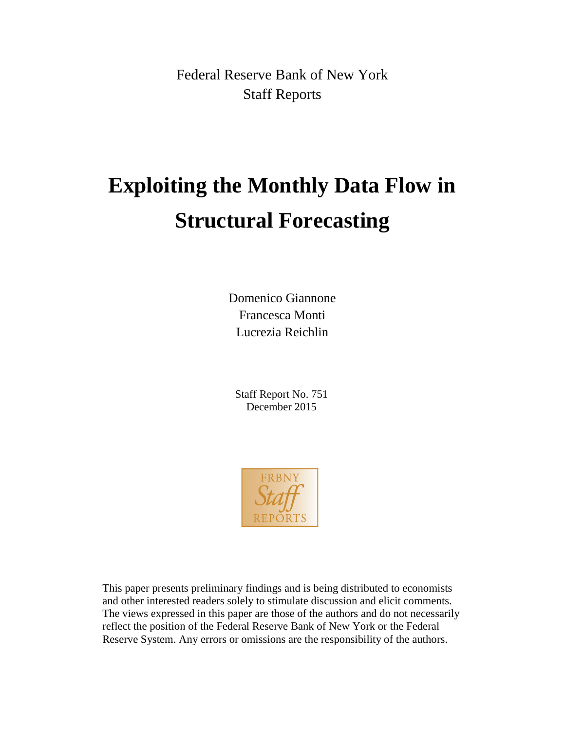Federal Reserve Bank of New York Staff Reports

# **Exploiting the Monthly Data Flow in Structural Forecasting**

Domenico Giannone Francesca Monti Lucrezia Reichlin

Staff Report No. 751 December 2015



This paper presents preliminary findings and is being distributed to economists and other interested readers solely to stimulate discussion and elicit comments. The views expressed in this paper are those of the authors and do not necessarily reflect the position of the Federal Reserve Bank of New York or the Federal Reserve System. Any errors or omissions are the responsibility of the authors.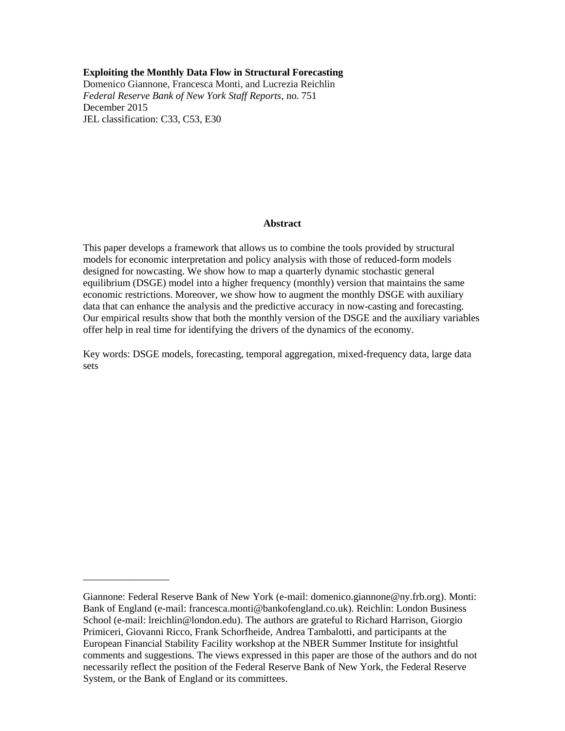#### **Exploiting the Monthly Data Flow in Structural Forecasting**

Domenico Giannone, Francesca Monti, and Lucrezia Reichlin *Federal Reserve Bank of New York Staff Reports*, no. 751 December 2015 JEL classification: C33, C53, E30

#### **Abstract**

This paper develops a framework that allows us to combine the tools provided by structural models for economic interpretation and policy analysis with those of reduced-form models designed for nowcasting. We show how to map a quarterly dynamic stochastic general equilibrium (DSGE) model into a higher frequency (monthly) version that maintains the same economic restrictions. Moreover, we show how to augment the monthly DSGE with auxiliary data that can enhance the analysis and the predictive accuracy in now-casting and forecasting. Our empirical results show that both the monthly version of the DSGE and the auxiliary variables offer help in real time for identifying the drivers of the dynamics of the economy.

Key words: DSGE models, forecasting, temporal aggregation, mixed-frequency data, large data sets

\_\_\_\_\_\_\_\_\_\_\_\_\_\_\_\_\_

Giannone: Federal Reserve Bank of New York (e-mail: domenico.giannone@ny.frb.org). Monti: Bank of England (e-mail: francesca.monti@bankofengland.co.uk). Reichlin: London Business School (e-mail: lreichlin@london.edu). The authors are grateful to Richard Harrison, Giorgio Primiceri, Giovanni Ricco, Frank Schorfheide, Andrea Tambalotti, and participants at the European Financial Stability Facility workshop at the NBER Summer Institute for insightful comments and suggestions. The views expressed in this paper are those of the authors and do not necessarily reflect the position of the Federal Reserve Bank of New York, the Federal Reserve System, or the Bank of England or its committees.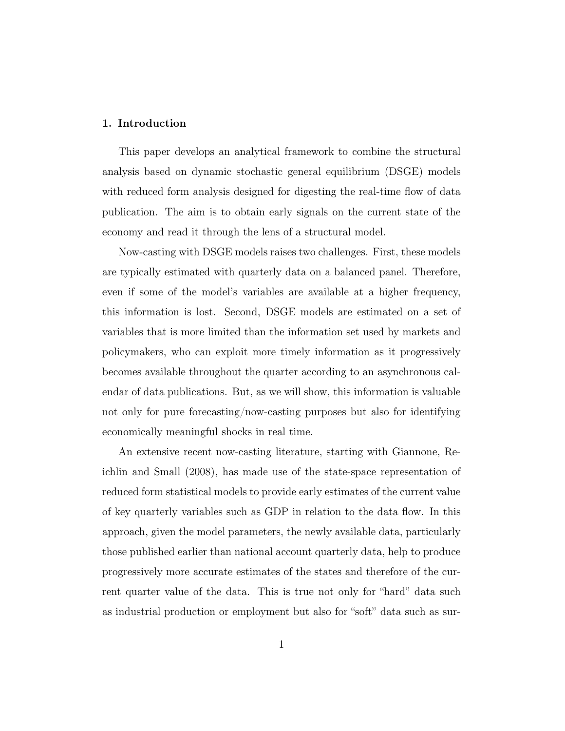#### 1. Introduction

This paper develops an analytical framework to combine the structural analysis based on dynamic stochastic general equilibrium (DSGE) models with reduced form analysis designed for digesting the real-time flow of data publication. The aim is to obtain early signals on the current state of the economy and read it through the lens of a structural model.

Now-casting with DSGE models raises two challenges. First, these models are typically estimated with quarterly data on a balanced panel. Therefore, even if some of the model's variables are available at a higher frequency, this information is lost. Second, DSGE models are estimated on a set of variables that is more limited than the information set used by markets and policymakers, who can exploit more timely information as it progressively becomes available throughout the quarter according to an asynchronous calendar of data publications. But, as we will show, this information is valuable not only for pure forecasting/now-casting purposes but also for identifying economically meaningful shocks in real time.

An extensive recent now-casting literature, starting with Giannone, Reichlin and Small (2008), has made use of the state-space representation of reduced form statistical models to provide early estimates of the current value of key quarterly variables such as GDP in relation to the data flow. In this approach, given the model parameters, the newly available data, particularly those published earlier than national account quarterly data, help to produce progressively more accurate estimates of the states and therefore of the current quarter value of the data. This is true not only for "hard" data such as industrial production or employment but also for "soft" data such as sur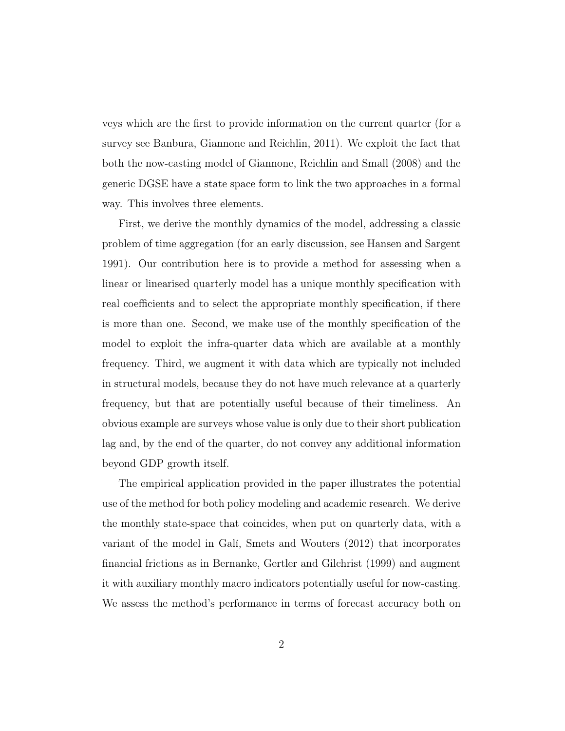veys which are the first to provide information on the current quarter (for a survey see Banbura, Giannone and Reichlin, 2011). We exploit the fact that both the now-casting model of Giannone, Reichlin and Small (2008) and the generic DGSE have a state space form to link the two approaches in a formal way. This involves three elements.

First, we derive the monthly dynamics of the model, addressing a classic problem of time aggregation (for an early discussion, see Hansen and Sargent 1991). Our contribution here is to provide a method for assessing when a linear or linearised quarterly model has a unique monthly specification with real coefficients and to select the appropriate monthly specification, if there is more than one. Second, we make use of the monthly specification of the model to exploit the infra-quarter data which are available at a monthly frequency. Third, we augment it with data which are typically not included in structural models, because they do not have much relevance at a quarterly frequency, but that are potentially useful because of their timeliness. An obvious example are surveys whose value is only due to their short publication lag and, by the end of the quarter, do not convey any additional information beyond GDP growth itself.

The empirical application provided in the paper illustrates the potential use of the method for both policy modeling and academic research. We derive the monthly state-space that coincides, when put on quarterly data, with a variant of the model in Galí, Smets and Wouters (2012) that incorporates financial frictions as in Bernanke, Gertler and Gilchrist (1999) and augment it with auxiliary monthly macro indicators potentially useful for now-casting. We assess the method's performance in terms of forecast accuracy both on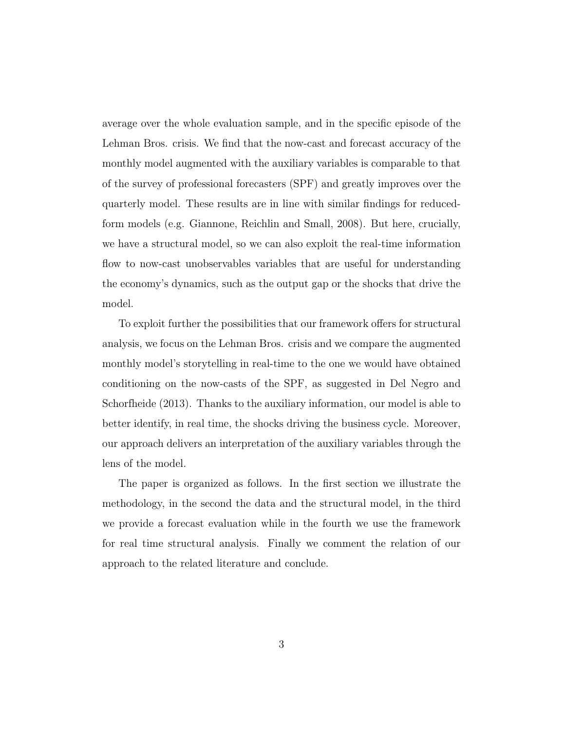average over the whole evaluation sample, and in the specific episode of the Lehman Bros. crisis. We find that the now-cast and forecast accuracy of the monthly model augmented with the auxiliary variables is comparable to that of the survey of professional forecasters (SPF) and greatly improves over the quarterly model. These results are in line with similar findings for reducedform models (e.g. Giannone, Reichlin and Small, 2008). But here, crucially, we have a structural model, so we can also exploit the real-time information flow to now-cast unobservables variables that are useful for understanding the economy's dynamics, such as the output gap or the shocks that drive the model.

To exploit further the possibilities that our framework offers for structural analysis, we focus on the Lehman Bros. crisis and we compare the augmented monthly model's storytelling in real-time to the one we would have obtained conditioning on the now-casts of the SPF, as suggested in Del Negro and Schorfheide (2013). Thanks to the auxiliary information, our model is able to better identify, in real time, the shocks driving the business cycle. Moreover, our approach delivers an interpretation of the auxiliary variables through the lens of the model.

The paper is organized as follows. In the first section we illustrate the methodology, in the second the data and the structural model, in the third we provide a forecast evaluation while in the fourth we use the framework for real time structural analysis. Finally we comment the relation of our approach to the related literature and conclude.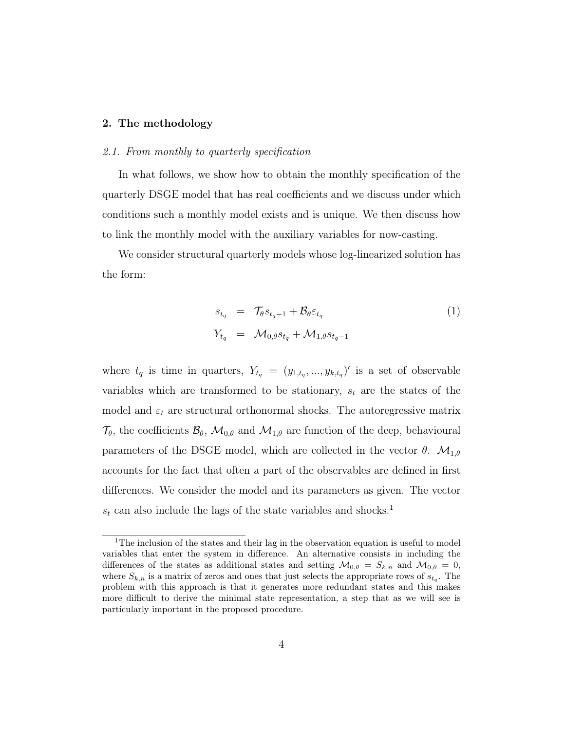#### 2. The methodology

#### 2.1. From monthly to quarterly specification

In what follows, we show how to obtain the monthly specification of the quarterly DSGE model that has real coefficients and we discuss under which conditions such a monthly model exists and is unique. We then discuss how to link the monthly model with the auxiliary variables for now-casting.

We consider structural quarterly models whose log-linearized solution has the form:

$$
s_{t_q} = \mathcal{T}_{\theta} s_{t_q - 1} + \mathcal{B}_{\theta} \varepsilon_{t_q}
$$
  
\n
$$
Y_{t_q} = \mathcal{M}_{0,\theta} s_{t_q} + \mathcal{M}_{1,\theta} s_{t_q - 1}
$$
\n
$$
(1)
$$

where  $t_q$  is time in quarters,  $Y_{t_q} = (y_{1,t_q},...,y_{k,t_q})'$  is a set of observable variables which are transformed to be stationary,  $s_t$  are the states of the model and  $\varepsilon_t$  are structural orthonormal shocks. The autoregressive matrix  $\mathcal{T}_{\theta}$ , the coefficients  $\mathcal{B}_{\theta}$ ,  $\mathcal{M}_{0,\theta}$  and  $\mathcal{M}_{1,\theta}$  are function of the deep, behavioural parameters of the DSGE model, which are collected in the vector  $\theta$ .  $\mathcal{M}_{1,\theta}$ accounts for the fact that often a part of the observables are defined in first differences. We consider the model and its parameters as given. The vector  $s_t$  can also include the lags of the state variables and shocks.<sup>1</sup>

<sup>&</sup>lt;sup>1</sup>The inclusion of the states and their lag in the observation equation is useful to model variables that enter the system in difference. An alternative consists in including the differences of the states as additional states and setting  $\mathcal{M}_{0,\theta} = S_{k,n}$  and  $\mathcal{M}_{0,\theta} = 0$ , where  $S_{k,n}$  is a matrix of zeros and ones that just selects the appropriate rows of  $s_{t_q}$ . The problem with this approach is that it generates more redundant states and this makes more difficult to derive the minimal state representation, a step that as we will see is particularly important in the proposed procedure.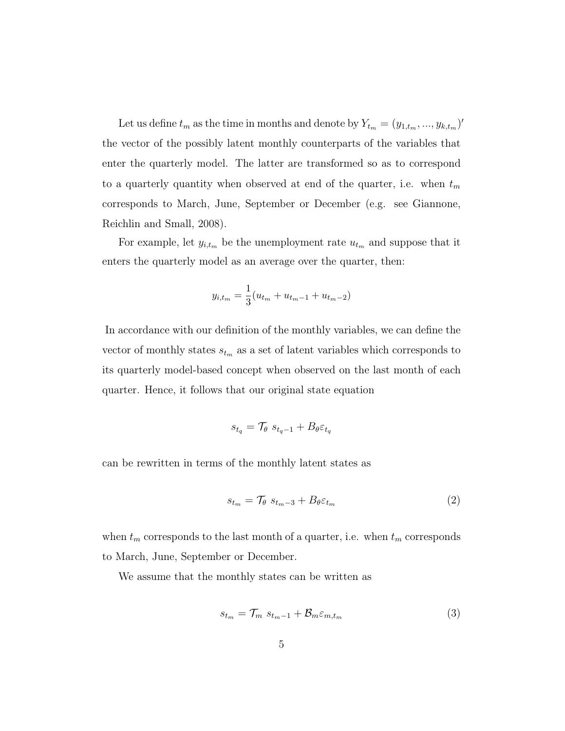Let us define  $t_m$  as the time in months and denote by  $Y_{t_m} = (y_{1,t_m},...,y_{k,t_m})'$ the vector of the possibly latent monthly counterparts of the variables that enter the quarterly model. The latter are transformed so as to correspond to a quarterly quantity when observed at end of the quarter, i.e. when  $t_m$ corresponds to March, June, September or December (e.g. see Giannone, Reichlin and Small, 2008).

For example, let  $y_{i,t_m}$  be the unemployment rate  $u_{t_m}$  and suppose that it enters the quarterly model as an average over the quarter, then:

$$
y_{i,t_m} = \frac{1}{3}(u_{t_m} + u_{t_m-1} + u_{t_m-2})
$$

In accordance with our definition of the monthly variables, we can define the vector of monthly states  $s_{t_m}$  as a set of latent variables which corresponds to its quarterly model-based concept when observed on the last month of each quarter. Hence, it follows that our original state equation

$$
s_{t_q} = \mathcal{T}_{\theta} \ s_{t_q-1} + B_{\theta} \varepsilon_{t_q}
$$

can be rewritten in terms of the monthly latent states as

$$
s_{t_m} = \mathcal{T}_{\theta} \ s_{t_m - 3} + B_{\theta} \varepsilon_{t_m} \tag{2}
$$

when  $t_m$  corresponds to the last month of a quarter, i.e. when  $t_m$  corresponds to March, June, September or December.

We assume that the monthly states can be written as

$$
s_{t_m} = \mathcal{T}_m \ s_{t_m - 1} + \mathcal{B}_m \varepsilon_{m, t_m} \tag{3}
$$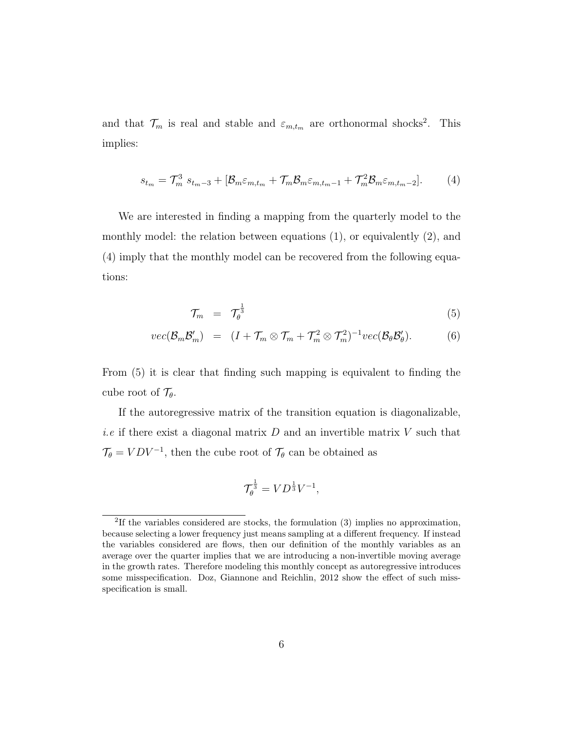and that  $\mathcal{T}_m$  is real and stable and  $\varepsilon_{m,t_m}$  are orthonormal shocks<sup>2</sup>. This implies:

$$
s_{t_m} = \mathcal{T}_m^3 \ s_{t_m-3} + [\mathcal{B}_m \varepsilon_{m,t_m} + \mathcal{T}_m \mathcal{B}_m \varepsilon_{m,t_m-1} + \mathcal{T}_m^2 \mathcal{B}_m \varepsilon_{m,t_m-2}]. \tag{4}
$$

We are interested in finding a mapping from the quarterly model to the monthly model: the relation between equations (1), or equivalently (2), and (4) imply that the monthly model can be recovered from the following equations:

$$
\mathcal{T}_m = \mathcal{T}_{\theta}^{\frac{1}{3}} \tag{5}
$$

$$
vec(\mathcal{B}_m \mathcal{B}_m') = (I + \mathcal{T}_m \otimes \mathcal{T}_m + \mathcal{T}_m^2 \otimes \mathcal{T}_m^2)^{-1} vec(\mathcal{B}_\theta \mathcal{B}_\theta'). \tag{6}
$$

From (5) it is clear that finding such mapping is equivalent to finding the cube root of  $\mathcal{T}_{\theta}$ .

If the autoregressive matrix of the transition equation is diagonalizable, *i.e* if there exist a diagonal matrix  $D$  and an invertible matrix  $V$  such that  $\mathcal{T}_{\theta} = VDV^{-1}$ , then the cube root of  $\mathcal{T}_{\theta}$  can be obtained as

$$
\mathcal{T}_{\theta}^{\frac{1}{3}} = V D^{\frac{1}{3}} V^{-1},
$$

<sup>&</sup>lt;sup>2</sup>If the variables considered are stocks, the formulation (3) implies no approximation, because selecting a lower frequency just means sampling at a different frequency. If instead the variables considered are flows, then our definition of the monthly variables as an average over the quarter implies that we are introducing a non-invertible moving average in the growth rates. Therefore modeling this monthly concept as autoregressive introduces some misspecification. Doz, Giannone and Reichlin, 2012 show the effect of such missspecification is small.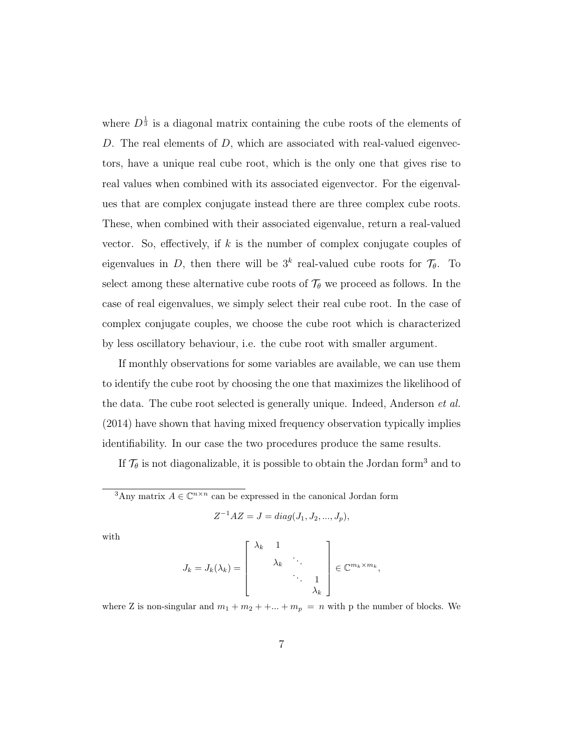where  $D^{\frac{1}{3}}$  is a diagonal matrix containing the cube roots of the elements of D. The real elements of  $D$ , which are associated with real-valued eigenvectors, have a unique real cube root, which is the only one that gives rise to real values when combined with its associated eigenvector. For the eigenvalues that are complex conjugate instead there are three complex cube roots. These, when combined with their associated eigenvalue, return a real-valued vector. So, effectively, if  $k$  is the number of complex conjugate couples of eigenvalues in D, then there will be  $3^k$  real-valued cube roots for  $\mathcal{T}_{\theta}$ . To select among these alternative cube roots of  $\mathcal{T}_{\theta}$  we proceed as follows. In the case of real eigenvalues, we simply select their real cube root. In the case of complex conjugate couples, we choose the cube root which is characterized by less oscillatory behaviour, i.e. the cube root with smaller argument.

If monthly observations for some variables are available, we can use them to identify the cube root by choosing the one that maximizes the likelihood of the data. The cube root selected is generally unique. Indeed, Anderson *et al.* (2014) have shown that having mixed frequency observation typically implies identifiability. In our case the two procedures produce the same results.

If  $\mathcal{T}_{\theta}$  is not diagonalizable, it is possible to obtain the Jordan form<sup>3</sup> and to

<sup>3</sup>Any matrix  $A \in \mathbb{C}^{n \times n}$  can be expressed in the canonical Jordan form

$$
Z^{-1}AZ = J = diag(J_1, J_2, ..., J_p),
$$

with

$$
J_k = J_k(\lambda_k) = \begin{bmatrix} \lambda_k & 1 & & \\ & \lambda_k & \ddots & \\ & & \ddots & 1 \\ & & & \lambda_k \end{bmatrix} \in \mathbb{C}^{m_k \times m_k},
$$

where Z is non-singular and  $m_1 + m_2 + + \dots + m_p = n$  with p the number of blocks. We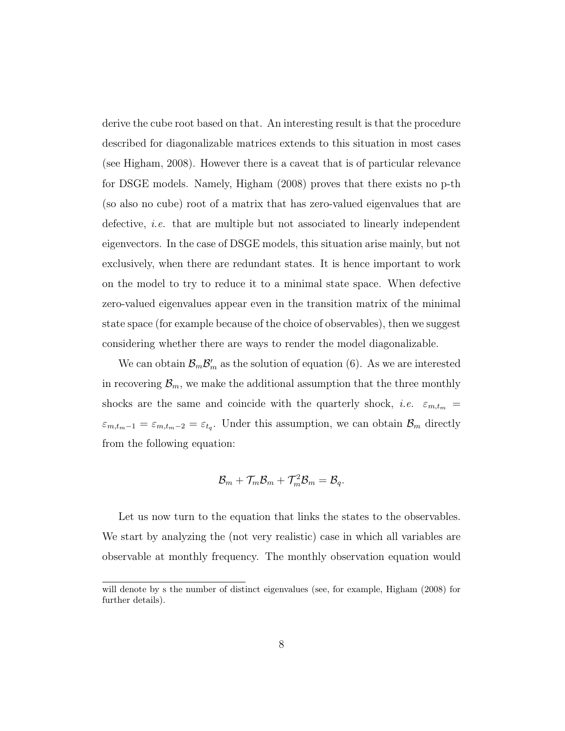derive the cube root based on that. An interesting result is that the procedure described for diagonalizable matrices extends to this situation in most cases (see Higham, 2008). However there is a caveat that is of particular relevance for DSGE models. Namely, Higham (2008) proves that there exists no p-th (so also no cube) root of a matrix that has zero-valued eigenvalues that are defective, *i.e.* that are multiple but not associated to linearly independent eigenvectors. In the case of DSGE models, this situation arise mainly, but not exclusively, when there are redundant states. It is hence important to work on the model to try to reduce it to a minimal state space. When defective zero-valued eigenvalues appear even in the transition matrix of the minimal state space (for example because of the choice of observables), then we suggest considering whether there are ways to render the model diagonalizable.

We can obtain  $\mathcal{B}_m \mathcal{B}'_m$  as the solution of equation (6). As we are interested in recovering  $\mathcal{B}_m$ , we make the additional assumption that the three monthly shocks are the same and coincide with the quarterly shock, *i.e.*  $\varepsilon_{m,t_m}$  =  $\varepsilon_{m,t_m-1} = \varepsilon_{m,t_m-2} = \varepsilon_{t_q}$ . Under this assumption, we can obtain  $\mathcal{B}_m$  directly from the following equation:

$$
\mathcal{B}_m + \mathcal{T}_m \mathcal{B}_m + \mathcal{T}_m^2 \mathcal{B}_m = \mathcal{B}_q.
$$

Let us now turn to the equation that links the states to the observables. We start by analyzing the (not very realistic) case in which all variables are observable at monthly frequency. The monthly observation equation would

will denote by s the number of distinct eigenvalues (see, for example, Higham (2008) for further details).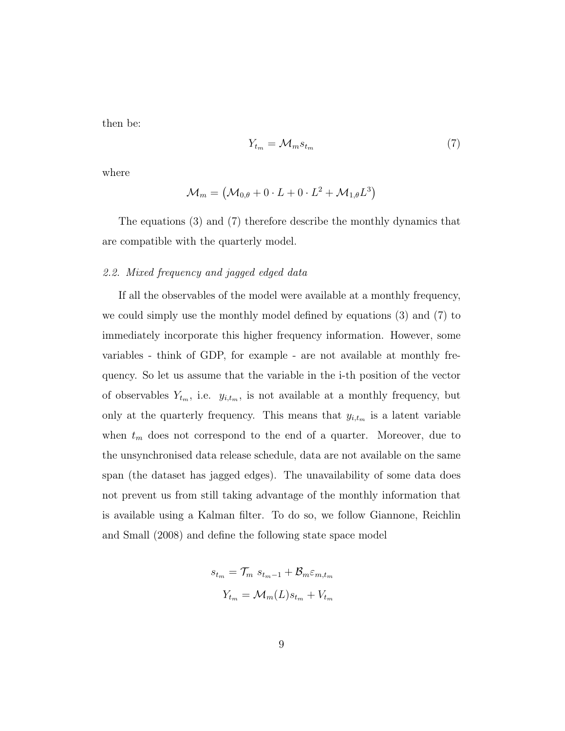then be:

$$
Y_{t_m} = \mathcal{M}_m s_{t_m} \tag{7}
$$

where

$$
\mathcal{M}_m = \left(\mathcal{M}_{0,\theta} + 0\cdot L + 0\cdot L^2 + \mathcal{M}_{1,\theta}L^3\right)
$$

The equations (3) and (7) therefore describe the monthly dynamics that are compatible with the quarterly model.

#### 2.2. Mixed frequency and jagged edged data

If all the observables of the model were available at a monthly frequency, we could simply use the monthly model defined by equations (3) and (7) to immediately incorporate this higher frequency information. However, some variables - think of GDP, for example - are not available at monthly frequency. So let us assume that the variable in the i-th position of the vector of observables  $Y_{t_m}$ , i.e.  $y_{i,t_m}$ , is not available at a monthly frequency, but only at the quarterly frequency. This means that  $y_{i,t_m}$  is a latent variable when  $t_m$  does not correspond to the end of a quarter. Moreover, due to the unsynchronised data release schedule, data are not available on the same span (the dataset has jagged edges). The unavailability of some data does not prevent us from still taking advantage of the monthly information that is available using a Kalman filter. To do so, we follow Giannone, Reichlin and Small (2008) and define the following state space model

$$
s_{t_m} = \mathcal{T}_m \ s_{t_m-1} + \mathcal{B}_m \varepsilon_{m,t_m}
$$

$$
Y_{t_m} = \mathcal{M}_m(L) s_{t_m} + V_{t_m}
$$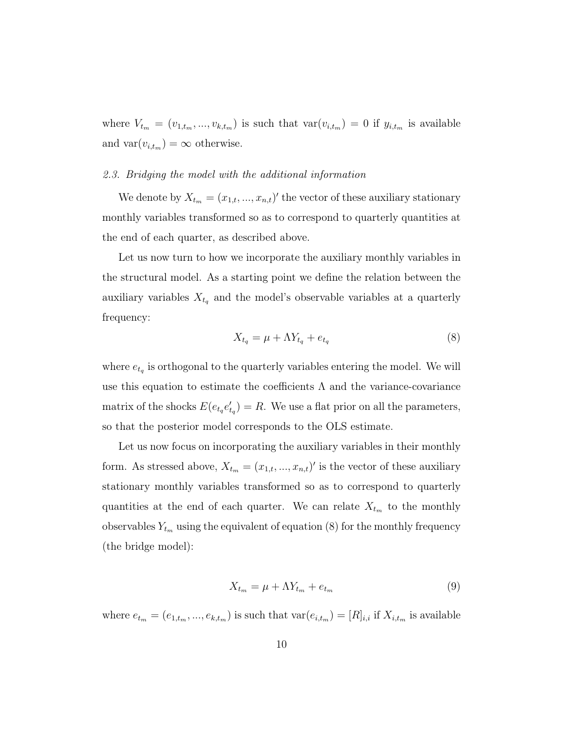where  $V_{t_m} = (v_{1,t_m},...,v_{k,t_m})$  is such that  $var(v_{i,t_m}) = 0$  if  $y_{i,t_m}$  is available and  $var(v_{i,t_m}) = \infty$  otherwise.

#### 2.3. Bridging the model with the additional information

We denote by  $X_{t_m} = (x_{1,t},...,x_{n,t})'$  the vector of these auxiliary stationary monthly variables transformed so as to correspond to quarterly quantities at the end of each quarter, as described above.

Let us now turn to how we incorporate the auxiliary monthly variables in the structural model. As a starting point we define the relation between the auxiliary variables  $X_{t_q}$  and the model's observable variables at a quarterly frequency:

$$
X_{t_q} = \mu + \Lambda Y_{t_q} + e_{t_q} \tag{8}
$$

where  $e_{t_q}$  is orthogonal to the quarterly variables entering the model. We will use this equation to estimate the coefficients  $\Lambda$  and the variance-covariance matrix of the shocks  $E(e_{t_q}e'_{t_q}) = R$ . We use a flat prior on all the parameters, so that the posterior model corresponds to the OLS estimate.

Let us now focus on incorporating the auxiliary variables in their monthly form. As stressed above,  $X_{t_m} = (x_{1,t},...,x_{n,t})'$  is the vector of these auxiliary stationary monthly variables transformed so as to correspond to quarterly quantities at the end of each quarter. We can relate  $X_{t_m}$  to the monthly observables  $Y_{t_m}$  using the equivalent of equation (8) for the monthly frequency (the bridge model):

$$
X_{t_m} = \mu + \Lambda Y_{t_m} + e_{t_m} \tag{9}
$$

where  $e_{t_m} = (e_{1,t_m},...,e_{k,t_m})$  is such that  $var(e_{i,t_m}) = [R]_{i,i}$  if  $X_{i,t_m}$  is available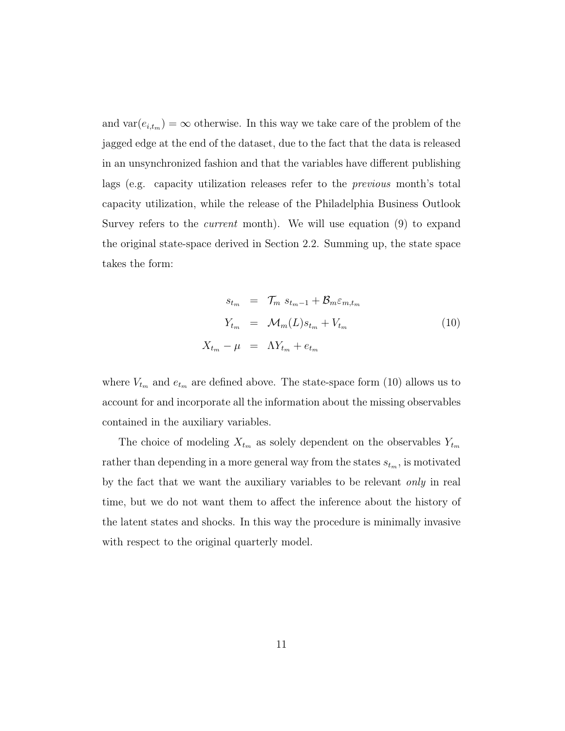and  $var(e_{i,t_m}) = \infty$  otherwise. In this way we take care of the problem of the jagged edge at the end of the dataset, due to the fact that the data is released in an unsynchronized fashion and that the variables have different publishing lags (e.g. capacity utilization releases refer to the previous month's total capacity utilization, while the release of the Philadelphia Business Outlook Survey refers to the *current* month). We will use equation (9) to expand the original state-space derived in Section 2.2. Summing up, the state space takes the form:

$$
s_{t_m} = \mathcal{T}_m s_{t_m-1} + \mathcal{B}_m \varepsilon_{m,t_m}
$$
  
\n
$$
Y_{t_m} = \mathcal{M}_m(L)s_{t_m} + V_{t_m}
$$
  
\n
$$
X_{t_m} - \mu = \Lambda Y_{t_m} + e_{t_m}
$$
\n(10)

where  $V_{t_m}$  and  $e_{t_m}$  are defined above. The state-space form (10) allows us to account for and incorporate all the information about the missing observables contained in the auxiliary variables.

The choice of modeling  $X_{t_m}$  as solely dependent on the observables  $Y_{t_m}$ rather than depending in a more general way from the states  $s_{t_m}$ , is motivated by the fact that we want the auxiliary variables to be relevant only in real time, but we do not want them to affect the inference about the history of the latent states and shocks. In this way the procedure is minimally invasive with respect to the original quarterly model.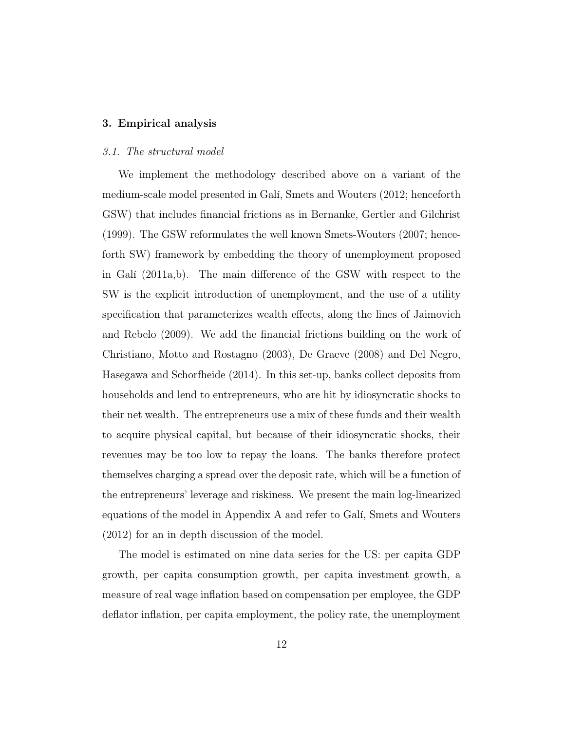#### 3. Empirical analysis

#### 3.1. The structural model

We implement the methodology described above on a variant of the medium-scale model presented in Galí, Smets and Wouters (2012; henceforth GSW) that includes financial frictions as in Bernanke, Gertler and Gilchrist (1999). The GSW reformulates the well known Smets-Wouters (2007; henceforth SW) framework by embedding the theory of unemployment proposed in Galí (2011a,b). The main difference of the GSW with respect to the SW is the explicit introduction of unemployment, and the use of a utility specification that parameterizes wealth effects, along the lines of Jaimovich and Rebelo (2009). We add the financial frictions building on the work of Christiano, Motto and Rostagno (2003), De Graeve (2008) and Del Negro, Hasegawa and Schorfheide (2014). In this set-up, banks collect deposits from households and lend to entrepreneurs, who are hit by idiosyncratic shocks to their net wealth. The entrepreneurs use a mix of these funds and their wealth to acquire physical capital, but because of their idiosyncratic shocks, their revenues may be too low to repay the loans. The banks therefore protect themselves charging a spread over the deposit rate, which will be a function of the entrepreneurs' leverage and riskiness. We present the main log-linearized equations of the model in Appendix A and refer to Galí, Smets and Wouters (2012) for an in depth discussion of the model.

The model is estimated on nine data series for the US: per capita GDP growth, per capita consumption growth, per capita investment growth, a measure of real wage inflation based on compensation per employee, the GDP deflator inflation, per capita employment, the policy rate, the unemployment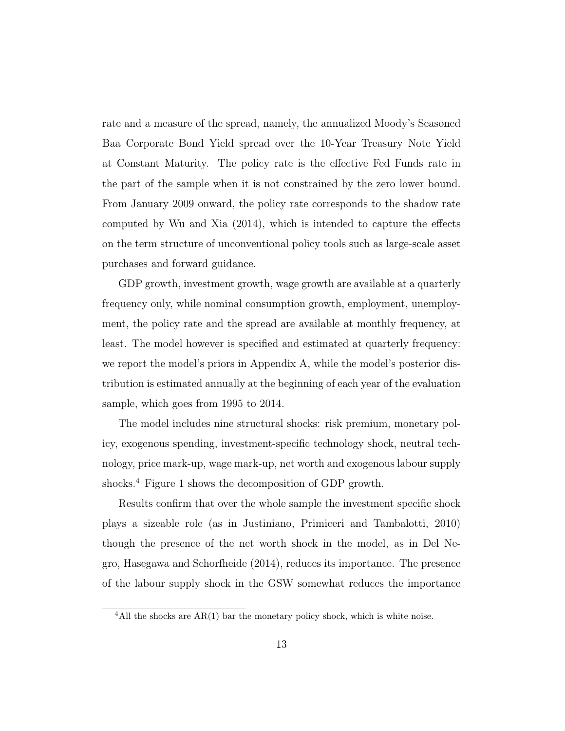rate and a measure of the spread, namely, the annualized Moody's Seasoned Baa Corporate Bond Yield spread over the 10-Year Treasury Note Yield at Constant Maturity. The policy rate is the effective Fed Funds rate in the part of the sample when it is not constrained by the zero lower bound. From January 2009 onward, the policy rate corresponds to the shadow rate computed by Wu and Xia (2014), which is intended to capture the effects on the term structure of unconventional policy tools such as large-scale asset purchases and forward guidance.

GDP growth, investment growth, wage growth are available at a quarterly frequency only, while nominal consumption growth, employment, unemployment, the policy rate and the spread are available at monthly frequency, at least. The model however is specified and estimated at quarterly frequency: we report the model's priors in Appendix A, while the model's posterior distribution is estimated annually at the beginning of each year of the evaluation sample, which goes from 1995 to 2014.

The model includes nine structural shocks: risk premium, monetary policy, exogenous spending, investment-specific technology shock, neutral technology, price mark-up, wage mark-up, net worth and exogenous labour supply shocks.<sup>4</sup> Figure 1 shows the decomposition of GDP growth.

Results confirm that over the whole sample the investment specific shock plays a sizeable role (as in Justiniano, Primiceri and Tambalotti, 2010) though the presence of the net worth shock in the model, as in Del Negro, Hasegawa and Schorfheide (2014), reduces its importance. The presence of the labour supply shock in the GSW somewhat reduces the importance

<sup>&</sup>lt;sup>4</sup>All the shocks are  $AR(1)$  bar the monetary policy shock, which is white noise.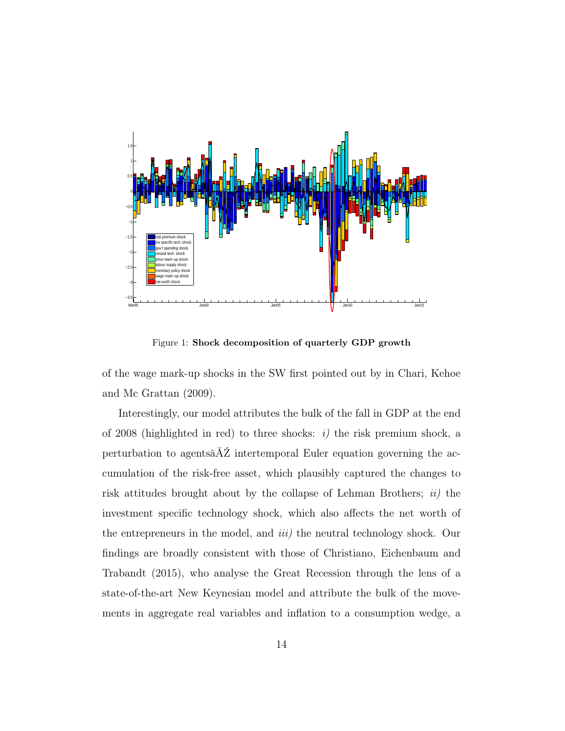

Figure 1: Shock decomposition of quarterly GDP growth

of the wage mark-up shocks in the SW first pointed out by in Chari, Kehoe and Mc Grattan (2009).

Interestingly, our model attributes the bulk of the fall in GDP at the end of 2008 (highlighted in red) to three shocks:  $i$ ) the risk premium shock, a perturbation to agents $\tilde{A}\tilde{Z}$  intertemporal Euler equation governing the accumulation of the risk-free asset, which plausibly captured the changes to risk attitudes brought about by the collapse of Lehman Brothers;  $ii)$  the investment specific technology shock, which also affects the net worth of the entrepreneurs in the model, and *iii*) the neutral technology shock. Our findings are broadly consistent with those of Christiano, Eichenbaum and Trabandt (2015), who analyse the Great Recession through the lens of a state-of-the-art New Keynesian model and attribute the bulk of the movements in aggregate real variables and inflation to a consumption wedge, a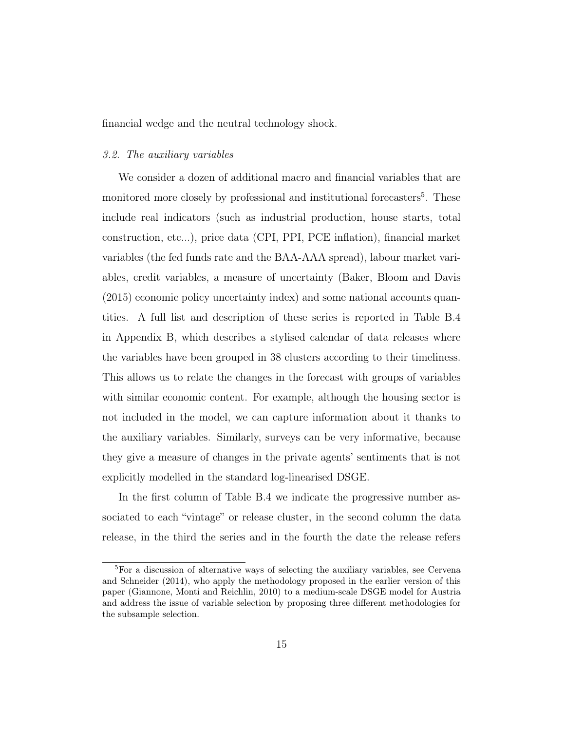financial wedge and the neutral technology shock.

#### 3.2. The auxiliary variables

We consider a dozen of additional macro and financial variables that are monitored more closely by professional and institutional forecasters<sup>5</sup>. These include real indicators (such as industrial production, house starts, total construction, etc...), price data (CPI, PPI, PCE inflation), financial market variables (the fed funds rate and the BAA-AAA spread), labour market variables, credit variables, a measure of uncertainty (Baker, Bloom and Davis (2015) economic policy uncertainty index) and some national accounts quantities. A full list and description of these series is reported in Table B.4 in Appendix B, which describes a stylised calendar of data releases where the variables have been grouped in 38 clusters according to their timeliness. This allows us to relate the changes in the forecast with groups of variables with similar economic content. For example, although the housing sector is not included in the model, we can capture information about it thanks to the auxiliary variables. Similarly, surveys can be very informative, because they give a measure of changes in the private agents' sentiments that is not explicitly modelled in the standard log-linearised DSGE.

In the first column of Table B.4 we indicate the progressive number associated to each "vintage" or release cluster, in the second column the data release, in the third the series and in the fourth the date the release refers

<sup>&</sup>lt;sup>5</sup>For a discussion of alternative ways of selecting the auxiliary variables, see Cervena and Schneider (2014), who apply the methodology proposed in the earlier version of this paper (Giannone, Monti and Reichlin, 2010) to a medium-scale DSGE model for Austria and address the issue of variable selection by proposing three different methodologies for the subsample selection.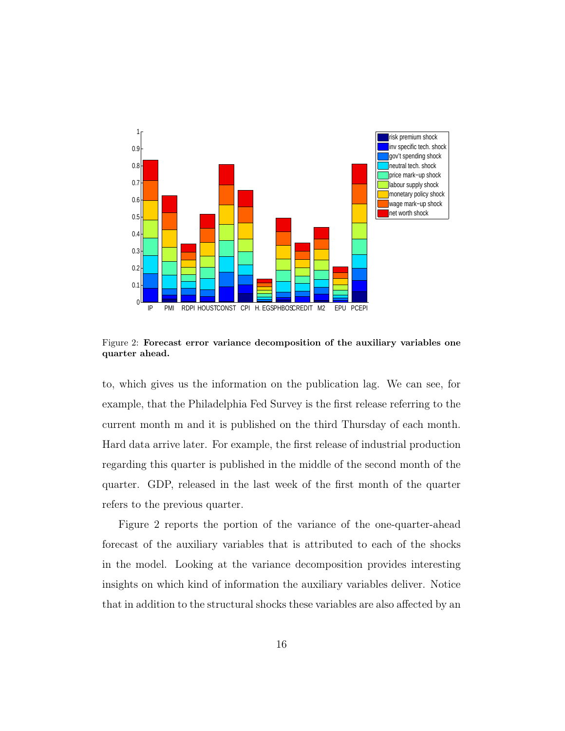

Figure 2: Forecast error variance decomposition of the auxiliary variables one quarter ahead.

to, which gives us the information on the publication lag. We can see, for example, that the Philadelphia Fed Survey is the first release referring to the current month m and it is published on the third Thursday of each month. Hard data arrive later. For example, the first release of industrial production regarding this quarter is published in the middle of the second month of the quarter. GDP, released in the last week of the first month of the quarter refers to the previous quarter.

Figure 2 reports the portion of the variance of the one-quarter-ahead forecast of the auxiliary variables that is attributed to each of the shocks in the model. Looking at the variance decomposition provides interesting insights on which kind of information the auxiliary variables deliver. Notice that in addition to the structural shocks these variables are also affected by an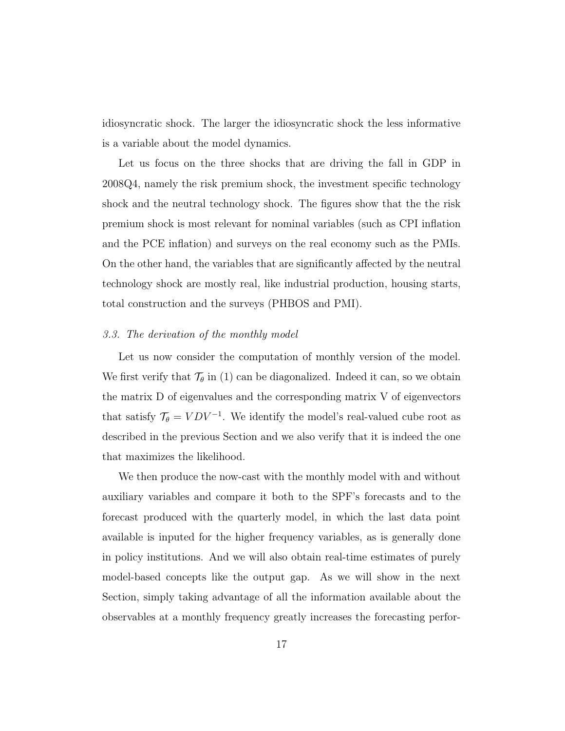idiosyncratic shock. The larger the idiosyncratic shock the less informative is a variable about the model dynamics.

Let us focus on the three shocks that are driving the fall in GDP in 2008Q4, namely the risk premium shock, the investment specific technology shock and the neutral technology shock. The figures show that the the risk premium shock is most relevant for nominal variables (such as CPI inflation and the PCE inflation) and surveys on the real economy such as the PMIs. On the other hand, the variables that are significantly affected by the neutral technology shock are mostly real, like industrial production, housing starts, total construction and the surveys (PHBOS and PMI).

#### 3.3. The derivation of the monthly model

Let us now consider the computation of monthly version of the model. We first verify that  $\mathcal{T}_{\theta}$  in (1) can be diagonalized. Indeed it can, so we obtain the matrix D of eigenvalues and the corresponding matrix V of eigenvectors that satisfy  $\mathcal{T}_{\theta} = VDV^{-1}$ . We identify the model's real-valued cube root as described in the previous Section and we also verify that it is indeed the one that maximizes the likelihood.

We then produce the now-cast with the monthly model with and without auxiliary variables and compare it both to the SPF's forecasts and to the forecast produced with the quarterly model, in which the last data point available is inputed for the higher frequency variables, as is generally done in policy institutions. And we will also obtain real-time estimates of purely model-based concepts like the output gap. As we will show in the next Section, simply taking advantage of all the information available about the observables at a monthly frequency greatly increases the forecasting perfor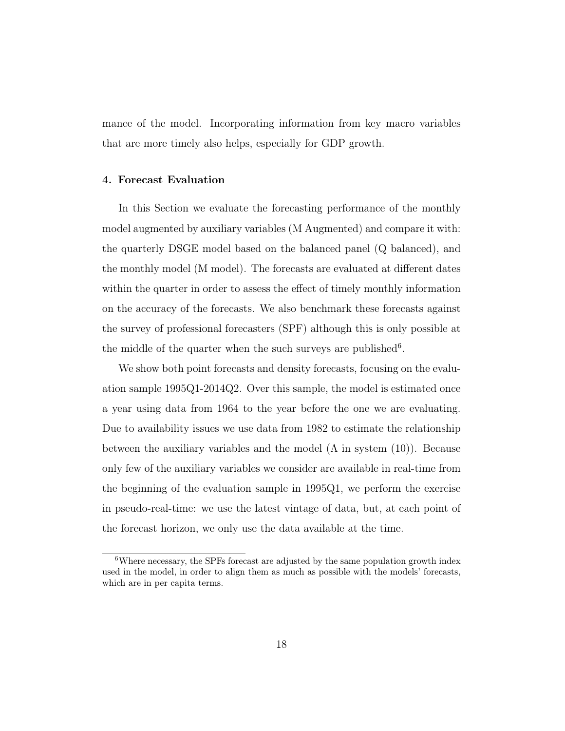mance of the model. Incorporating information from key macro variables that are more timely also helps, especially for GDP growth.

#### 4. Forecast Evaluation

In this Section we evaluate the forecasting performance of the monthly model augmented by auxiliary variables (M Augmented) and compare it with: the quarterly DSGE model based on the balanced panel (Q balanced), and the monthly model (M model). The forecasts are evaluated at different dates within the quarter in order to assess the effect of timely monthly information on the accuracy of the forecasts. We also benchmark these forecasts against the survey of professional forecasters (SPF) although this is only possible at the middle of the quarter when the such surveys are published<sup>6</sup>.

We show both point forecasts and density forecasts, focusing on the evaluation sample 1995Q1-2014Q2. Over this sample, the model is estimated once a year using data from 1964 to the year before the one we are evaluating. Due to availability issues we use data from 1982 to estimate the relationship between the auxiliary variables and the model  $(\Lambda$  in system  $(10)$ ). Because only few of the auxiliary variables we consider are available in real-time from the beginning of the evaluation sample in 1995Q1, we perform the exercise in pseudo-real-time: we use the latest vintage of data, but, at each point of the forecast horizon, we only use the data available at the time.

<sup>&</sup>lt;sup>6</sup>Where necessary, the SPFs forecast are adjusted by the same population growth index used in the model, in order to align them as much as possible with the models' forecasts, which are in per capita terms.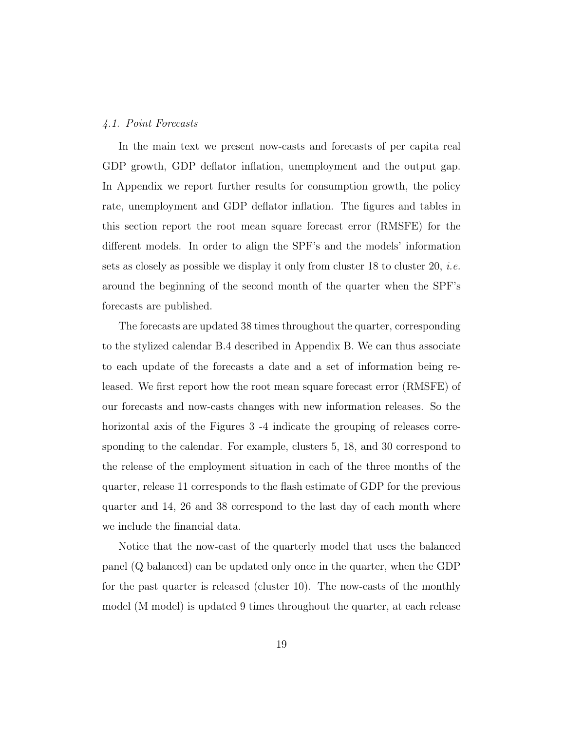#### 4.1. Point Forecasts

In the main text we present now-casts and forecasts of per capita real GDP growth, GDP deflator inflation, unemployment and the output gap. In Appendix we report further results for consumption growth, the policy rate, unemployment and GDP deflator inflation. The figures and tables in this section report the root mean square forecast error (RMSFE) for the different models. In order to align the SPF's and the models' information sets as closely as possible we display it only from cluster 18 to cluster 20, *i.e.* around the beginning of the second month of the quarter when the SPF's forecasts are published.

The forecasts are updated 38 times throughout the quarter, corresponding to the stylized calendar B.4 described in Appendix B. We can thus associate to each update of the forecasts a date and a set of information being released. We first report how the root mean square forecast error (RMSFE) of our forecasts and now-casts changes with new information releases. So the horizontal axis of the Figures 3 -4 indicate the grouping of releases corresponding to the calendar. For example, clusters 5, 18, and 30 correspond to the release of the employment situation in each of the three months of the quarter, release 11 corresponds to the flash estimate of GDP for the previous quarter and 14, 26 and 38 correspond to the last day of each month where we include the financial data.

Notice that the now-cast of the quarterly model that uses the balanced panel (Q balanced) can be updated only once in the quarter, when the GDP for the past quarter is released (cluster 10). The now-casts of the monthly model (M model) is updated 9 times throughout the quarter, at each release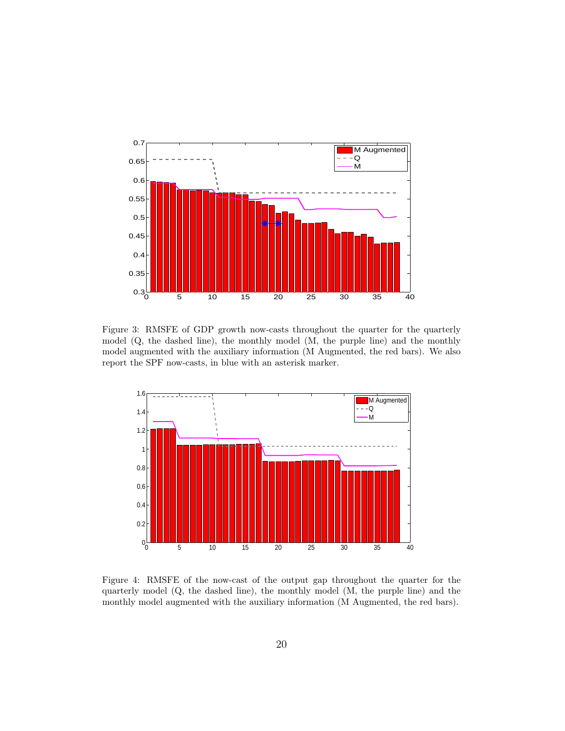

Figure 3: RMSFE of GDP growth now-casts throughout the quarter for the quarterly model (Q, the dashed line), the monthly model (M, the purple line) and the monthly model augmented with the auxiliary information (M Augmented, the red bars). We also report the SPF now-casts, in blue with an asterisk marker.



Figure 4: RMSFE of the now-cast of the output gap throughout the quarter for the quarterly model (Q, the dashed line), the monthly model (M, the purple line) and the monthly model augmented with the auxiliary information (M Augmented, the red bars).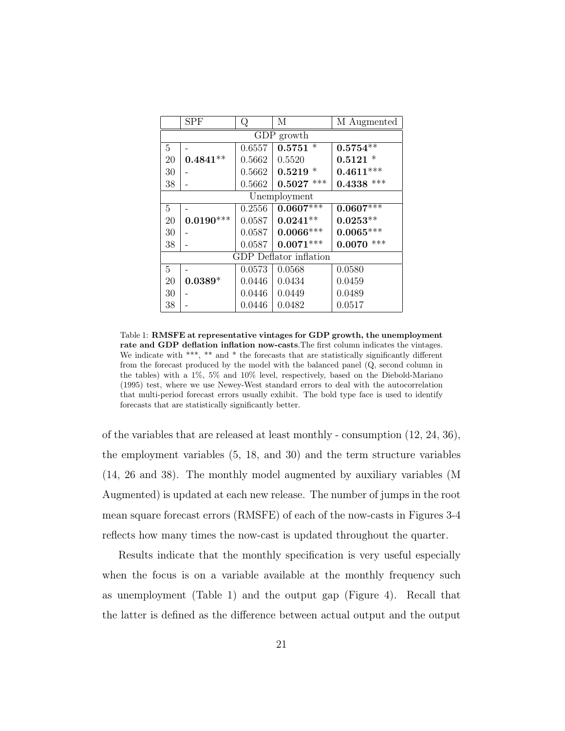|                | <b>SPF</b>  | Q      | M                      | M Augmented  |  |  |  |  |
|----------------|-------------|--------|------------------------|--------------|--|--|--|--|
|                | GDP growth  |        |                        |              |  |  |  |  |
| 5              |             | 0.6557 | $0.5751*$              | $0.5754**$   |  |  |  |  |
| 20             | $0.4841**$  | 0.5662 | 0.5520                 | $0.5121 *$   |  |  |  |  |
| 30             |             | 0.5662 | $0.5219*$              | $0.4611***$  |  |  |  |  |
| 38             |             | 0.5662 | $0.5027$ ***           | $0.4338$ *** |  |  |  |  |
|                |             |        | Unemployment           |              |  |  |  |  |
| 5              |             | 0.2556 | $0.0607***$            | $0.0607***$  |  |  |  |  |
| 20             | $0.0190***$ | 0.0587 | $0.0241**$             | $0.0253**$   |  |  |  |  |
| 30             |             | 0.0587 | $0.0066***$            | $0.0065***$  |  |  |  |  |
| 38             |             | 0.0587 | $0.0071***$            | $0.0070$ *** |  |  |  |  |
|                |             |        | GDP Deflator inflation |              |  |  |  |  |
| $\overline{5}$ |             | 0.0573 | 0.0568                 | 0.0580       |  |  |  |  |
| 20             | $0.0389*$   | 0.0446 | 0.0434                 | 0.0459       |  |  |  |  |
| 30             |             | 0.0446 | 0.0449                 | 0.0489       |  |  |  |  |
| 38             |             | 0.0446 | 0.0482                 | 0.0517       |  |  |  |  |

Table 1: RMSFE at representative vintages for GDP growth, the unemployment rate and GDP deflation inflation now-casts. The first column indicates the vintages. We indicate with \*\*\*, \*\* and \* the forecasts that are statistically significantly different from the forecast produced by the model with the balanced panel (Q, second column in the tables) with a 1%, 5% and 10% level, respectively, based on the Diebold-Mariano (1995) test, where we use Newey-West standard errors to deal with the autocorrelation that multi-period forecast errors usually exhibit. The bold type face is used to identify forecasts that are statistically significantly better.

of the variables that are released at least monthly - consumption (12, 24, 36), the employment variables (5, 18, and 30) and the term structure variables (14, 26 and 38). The monthly model augmented by auxiliary variables (M Augmented) is updated at each new release. The number of jumps in the root mean square forecast errors (RMSFE) of each of the now-casts in Figures 3-4 reflects how many times the now-cast is updated throughout the quarter.

Results indicate that the monthly specification is very useful especially when the focus is on a variable available at the monthly frequency such as unemployment (Table 1) and the output gap (Figure 4). Recall that the latter is defined as the difference between actual output and the output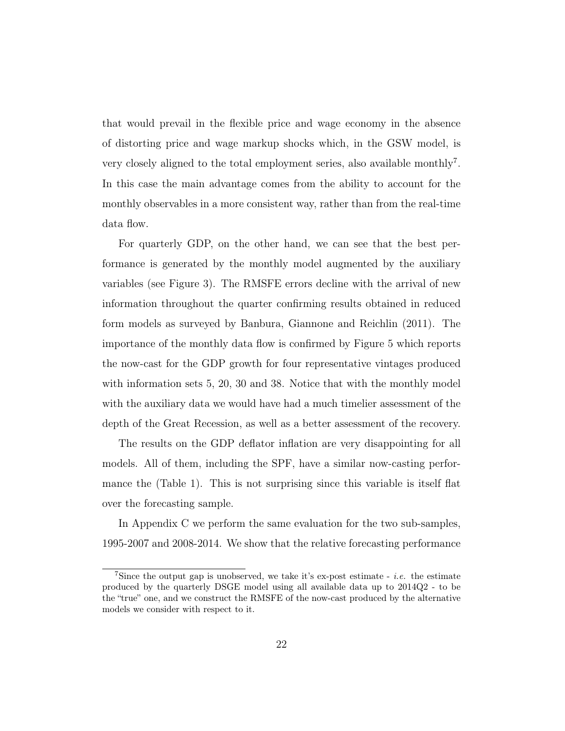that would prevail in the flexible price and wage economy in the absence of distorting price and wage markup shocks which, in the GSW model, is very closely aligned to the total employment series, also available monthly<sup>7</sup>. In this case the main advantage comes from the ability to account for the monthly observables in a more consistent way, rather than from the real-time data flow.

For quarterly GDP, on the other hand, we can see that the best performance is generated by the monthly model augmented by the auxiliary variables (see Figure 3). The RMSFE errors decline with the arrival of new information throughout the quarter confirming results obtained in reduced form models as surveyed by Banbura, Giannone and Reichlin (2011). The importance of the monthly data flow is confirmed by Figure 5 which reports the now-cast for the GDP growth for four representative vintages produced with information sets 5, 20, 30 and 38. Notice that with the monthly model with the auxiliary data we would have had a much timelier assessment of the depth of the Great Recession, as well as a better assessment of the recovery.

The results on the GDP deflator inflation are very disappointing for all models. All of them, including the SPF, have a similar now-casting performance the (Table 1). This is not surprising since this variable is itself flat over the forecasting sample.

In Appendix C we perform the same evaluation for the two sub-samples, 1995-2007 and 2008-2014. We show that the relative forecasting performance

<sup>&</sup>lt;sup>7</sup>Since the output gap is unobserved, we take it's ex-post estimate - *i.e.* the estimate produced by the quarterly DSGE model using all available data up to 2014Q2 - to be the "true" one, and we construct the RMSFE of the now-cast produced by the alternative models we consider with respect to it.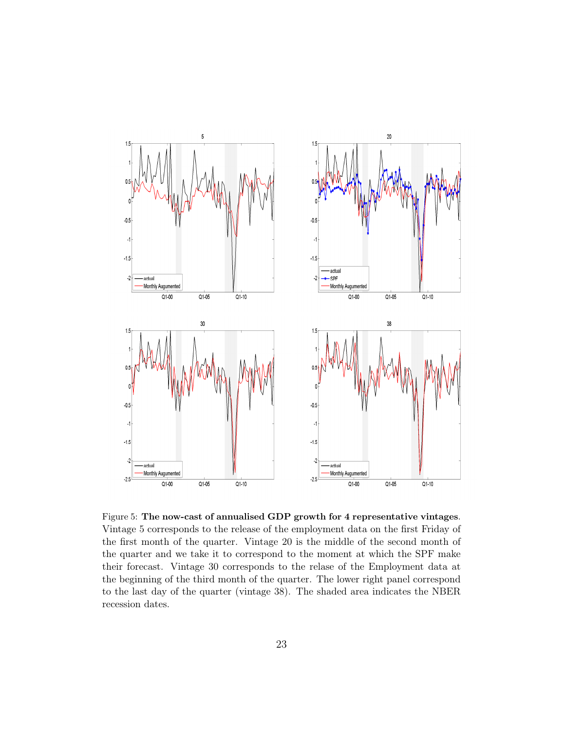

Figure 5: The now-cast of annualised GDP growth for 4 representative vintages. Vintage 5 corresponds to the release of the employment data on the first Friday of the first month of the quarter. Vintage 20 is the middle of the second month of the quarter and we take it to correspond to the moment at which the SPF make their forecast. Vintage 30 corresponds to the relase of the Employment data at the beginning of the third month of the quarter. The lower right panel correspond to the last day of the quarter (vintage 38). The shaded area indicates the NBER recession dates.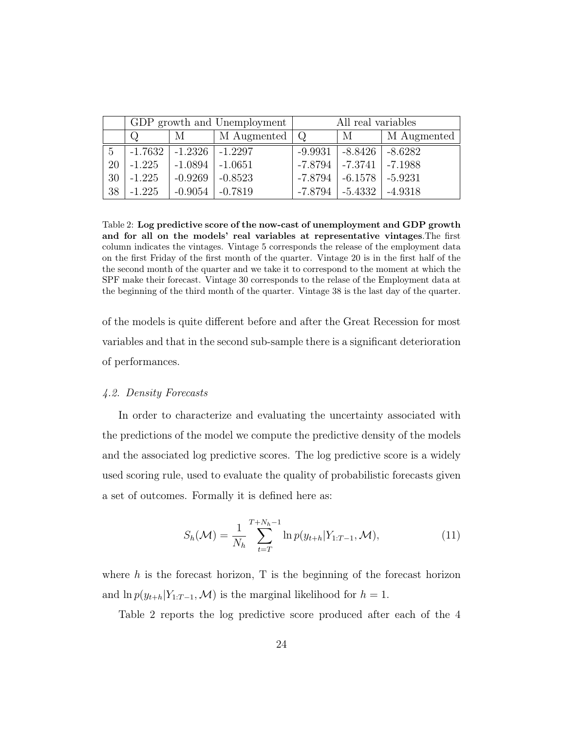|    |                   |                               | GDP growth and Unemployment | All real variables |                                   |             |  |
|----|-------------------|-------------------------------|-----------------------------|--------------------|-----------------------------------|-------------|--|
|    | $\mathbf{M}$<br>Q |                               | M Augmented                 | Q                  | M                                 | M Augmented |  |
| 5  |                   | $-1.7632$ $-1.2326$ $-1.2297$ |                             |                    | $-9.9931$   $-8.8426$   $-8.6282$ |             |  |
| 20 | $-1.225$          | $-1.0894$ $-1.0651$           |                             |                    | $-7.8794$ $-7.3741$ $-7.1988$     |             |  |
| 30 | $-1.225$          | $-0.9269$                     | $-0.8523$                   |                    | $-7.8794$   $-6.1578$   $-5.9231$ |             |  |
| 38 | $-1.225$          | $-0.9054$                     | $-0.7819$                   |                    | $-7.8794$ $-5.4332$ $-4.9318$     |             |  |

Table 2: Log predictive score of the now-cast of unemployment and GDP growth and for all on the models' real variables at representative vintages.The first column indicates the vintages. Vintage 5 corresponds the release of the employment data on the first Friday of the first month of the quarter. Vintage 20 is in the first half of the the second month of the quarter and we take it to correspond to the moment at which the SPF make their forecast. Vintage 30 corresponds to the relase of the Employment data at the beginning of the third month of the quarter. Vintage 38 is the last day of the quarter.

of the models is quite different before and after the Great Recession for most variables and that in the second sub-sample there is a significant deterioration of performances.

#### 4.2. Density Forecasts

In order to characterize and evaluating the uncertainty associated with the predictions of the model we compute the predictive density of the models and the associated log predictive scores. The log predictive score is a widely used scoring rule, used to evaluate the quality of probabilistic forecasts given a set of outcomes. Formally it is defined here as:

$$
S_h(\mathcal{M}) = \frac{1}{N_h} \sum_{t=T}^{T+N_h-1} \ln p(y_{t+h} | Y_{1:T-1}, \mathcal{M}), \tag{11}
$$

where  $h$  is the forecast horizon, T is the beginning of the forecast horizon and  $\ln p(y_{t+h}|Y_{1:T-1},\mathcal{M})$  is the marginal likelihood for  $h=1$ .

Table 2 reports the log predictive score produced after each of the 4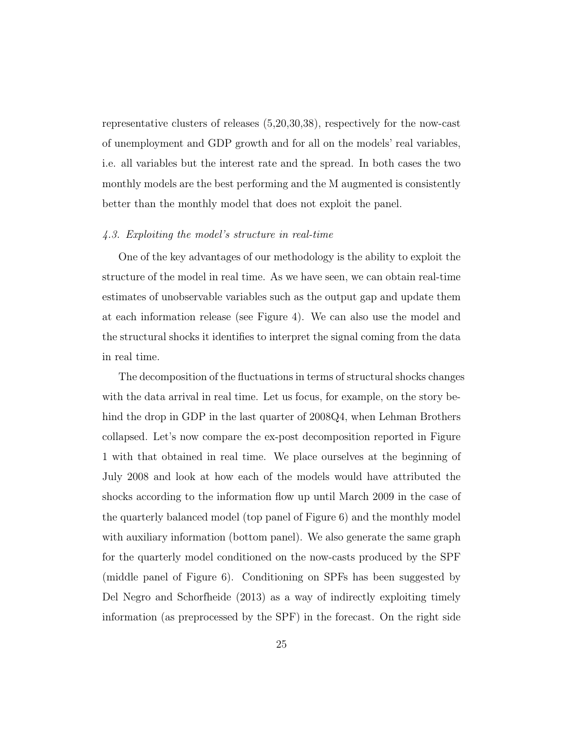representative clusters of releases (5,20,30,38), respectively for the now-cast of unemployment and GDP growth and for all on the models' real variables, i.e. all variables but the interest rate and the spread. In both cases the two monthly models are the best performing and the M augmented is consistently better than the monthly model that does not exploit the panel.

#### 4.3. Exploiting the model's structure in real-time

One of the key advantages of our methodology is the ability to exploit the structure of the model in real time. As we have seen, we can obtain real-time estimates of unobservable variables such as the output gap and update them at each information release (see Figure 4). We can also use the model and the structural shocks it identifies to interpret the signal coming from the data in real time.

The decomposition of the fluctuations in terms of structural shocks changes with the data arrival in real time. Let us focus, for example, on the story behind the drop in GDP in the last quarter of 2008Q4, when Lehman Brothers collapsed. Let's now compare the ex-post decomposition reported in Figure 1 with that obtained in real time. We place ourselves at the beginning of July 2008 and look at how each of the models would have attributed the shocks according to the information flow up until March 2009 in the case of the quarterly balanced model (top panel of Figure 6) and the monthly model with auxiliary information (bottom panel). We also generate the same graph for the quarterly model conditioned on the now-casts produced by the SPF (middle panel of Figure 6). Conditioning on SPFs has been suggested by Del Negro and Schorfheide (2013) as a way of indirectly exploiting timely information (as preprocessed by the SPF) in the forecast. On the right side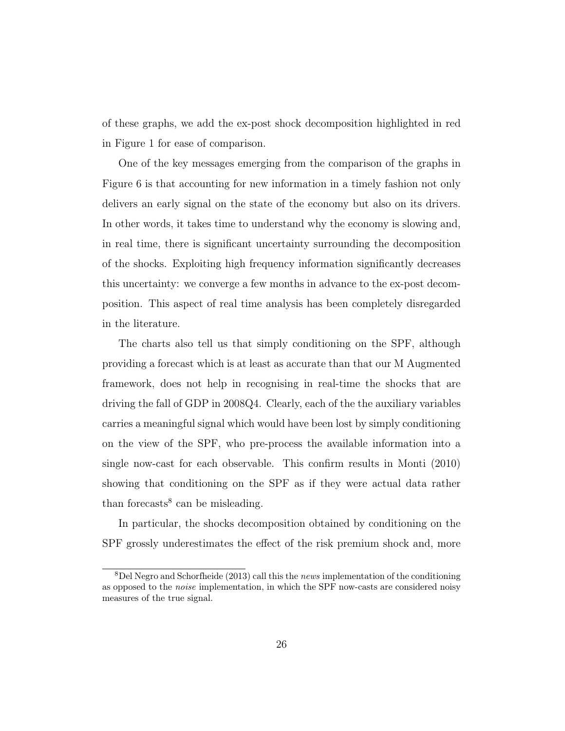of these graphs, we add the ex-post shock decomposition highlighted in red in Figure 1 for ease of comparison.

One of the key messages emerging from the comparison of the graphs in Figure 6 is that accounting for new information in a timely fashion not only delivers an early signal on the state of the economy but also on its drivers. In other words, it takes time to understand why the economy is slowing and, in real time, there is significant uncertainty surrounding the decomposition of the shocks. Exploiting high frequency information significantly decreases this uncertainty: we converge a few months in advance to the ex-post decomposition. This aspect of real time analysis has been completely disregarded in the literature.

The charts also tell us that simply conditioning on the SPF, although providing a forecast which is at least as accurate than that our M Augmented framework, does not help in recognising in real-time the shocks that are driving the fall of GDP in 2008Q4. Clearly, each of the the auxiliary variables carries a meaningful signal which would have been lost by simply conditioning on the view of the SPF, who pre-process the available information into a single now-cast for each observable. This confirm results in Monti (2010) showing that conditioning on the SPF as if they were actual data rather than forecasts<sup>8</sup> can be misleading.

In particular, the shocks decomposition obtained by conditioning on the SPF grossly underestimates the effect of the risk premium shock and, more

 $8$ Del Negro and Schorfheide (2013) call this the news implementation of the conditioning as opposed to the noise implementation, in which the SPF now-casts are considered noisy measures of the true signal.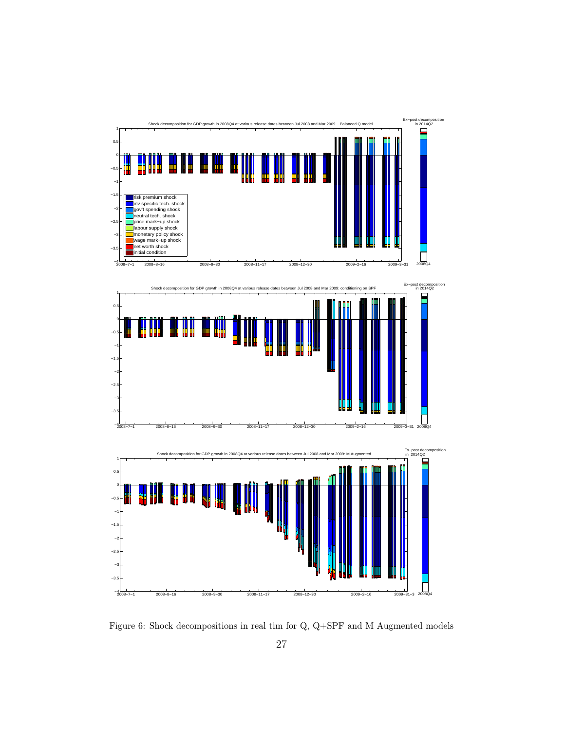

Figure 6: Shock decompositions in real tim for Q, Q+SPF and M Augmented models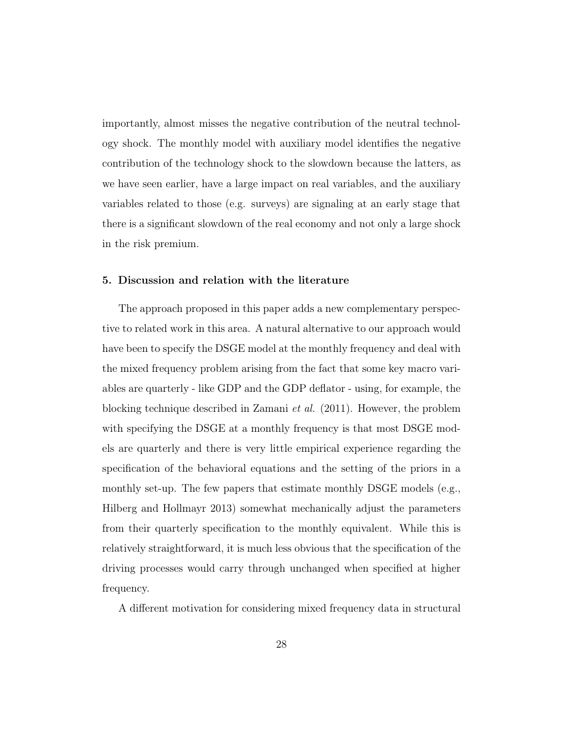importantly, almost misses the negative contribution of the neutral technology shock. The monthly model with auxiliary model identifies the negative contribution of the technology shock to the slowdown because the latters, as we have seen earlier, have a large impact on real variables, and the auxiliary variables related to those (e.g. surveys) are signaling at an early stage that there is a significant slowdown of the real economy and not only a large shock in the risk premium.

#### 5. Discussion and relation with the literature

The approach proposed in this paper adds a new complementary perspective to related work in this area. A natural alternative to our approach would have been to specify the DSGE model at the monthly frequency and deal with the mixed frequency problem arising from the fact that some key macro variables are quarterly - like GDP and the GDP deflator - using, for example, the blocking technique described in Zamani et al. (2011). However, the problem with specifying the DSGE at a monthly frequency is that most DSGE models are quarterly and there is very little empirical experience regarding the specification of the behavioral equations and the setting of the priors in a monthly set-up. The few papers that estimate monthly DSGE models (e.g., Hilberg and Hollmayr 2013) somewhat mechanically adjust the parameters from their quarterly specification to the monthly equivalent. While this is relatively straightforward, it is much less obvious that the specification of the driving processes would carry through unchanged when specified at higher frequency.

A different motivation for considering mixed frequency data in structural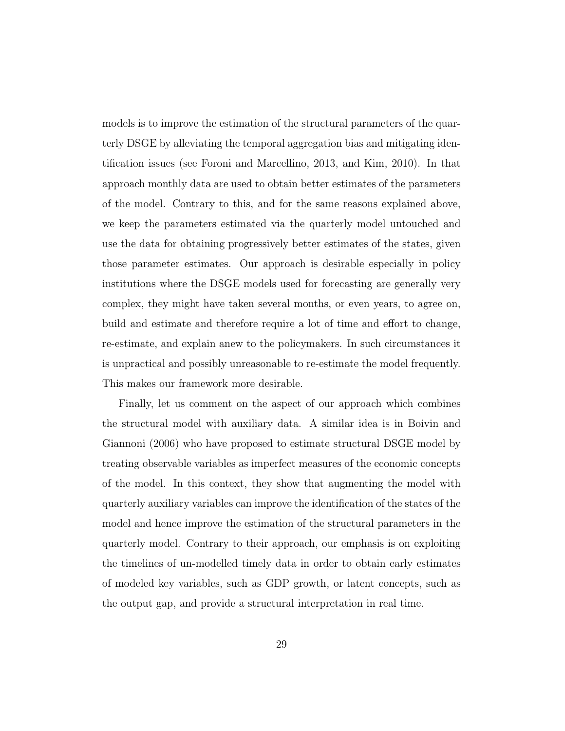models is to improve the estimation of the structural parameters of the quarterly DSGE by alleviating the temporal aggregation bias and mitigating identification issues (see Foroni and Marcellino, 2013, and Kim, 2010). In that approach monthly data are used to obtain better estimates of the parameters of the model. Contrary to this, and for the same reasons explained above, we keep the parameters estimated via the quarterly model untouched and use the data for obtaining progressively better estimates of the states, given those parameter estimates. Our approach is desirable especially in policy institutions where the DSGE models used for forecasting are generally very complex, they might have taken several months, or even years, to agree on, build and estimate and therefore require a lot of time and effort to change, re-estimate, and explain anew to the policymakers. In such circumstances it is unpractical and possibly unreasonable to re-estimate the model frequently. This makes our framework more desirable.

Finally, let us comment on the aspect of our approach which combines the structural model with auxiliary data. A similar idea is in Boivin and Giannoni (2006) who have proposed to estimate structural DSGE model by treating observable variables as imperfect measures of the economic concepts of the model. In this context, they show that augmenting the model with quarterly auxiliary variables can improve the identification of the states of the model and hence improve the estimation of the structural parameters in the quarterly model. Contrary to their approach, our emphasis is on exploiting the timelines of un-modelled timely data in order to obtain early estimates of modeled key variables, such as GDP growth, or latent concepts, such as the output gap, and provide a structural interpretation in real time.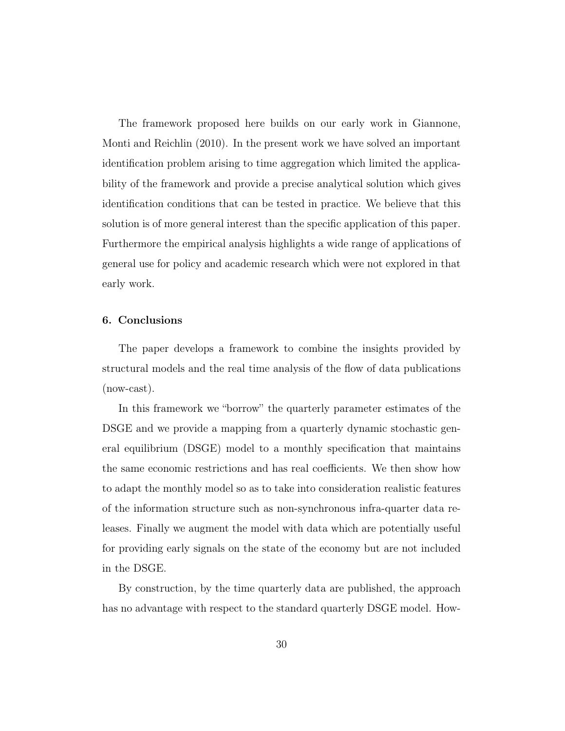The framework proposed here builds on our early work in Giannone, Monti and Reichlin (2010). In the present work we have solved an important identification problem arising to time aggregation which limited the applicability of the framework and provide a precise analytical solution which gives identification conditions that can be tested in practice. We believe that this solution is of more general interest than the specific application of this paper. Furthermore the empirical analysis highlights a wide range of applications of general use for policy and academic research which were not explored in that early work.

#### 6. Conclusions

The paper develops a framework to combine the insights provided by structural models and the real time analysis of the flow of data publications (now-cast).

In this framework we "borrow" the quarterly parameter estimates of the DSGE and we provide a mapping from a quarterly dynamic stochastic general equilibrium (DSGE) model to a monthly specification that maintains the same economic restrictions and has real coefficients. We then show how to adapt the monthly model so as to take into consideration realistic features of the information structure such as non-synchronous infra-quarter data releases. Finally we augment the model with data which are potentially useful for providing early signals on the state of the economy but are not included in the DSGE.

By construction, by the time quarterly data are published, the approach has no advantage with respect to the standard quarterly DSGE model. How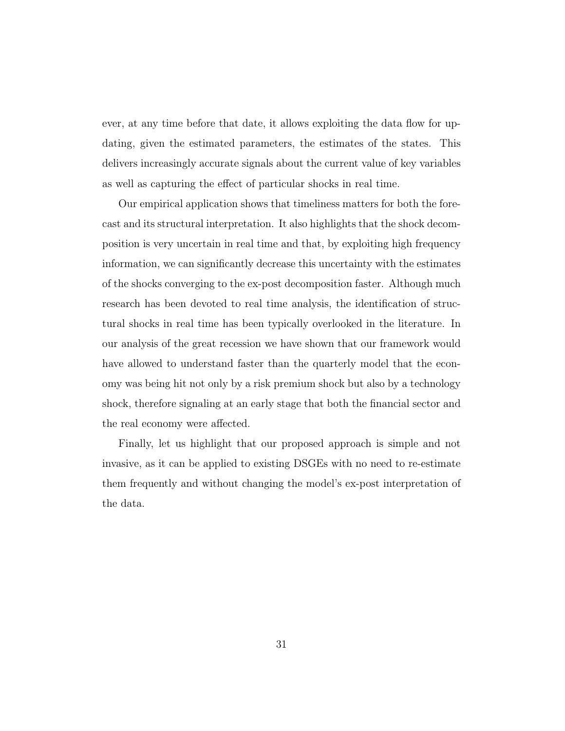ever, at any time before that date, it allows exploiting the data flow for updating, given the estimated parameters, the estimates of the states. This delivers increasingly accurate signals about the current value of key variables as well as capturing the effect of particular shocks in real time.

Our empirical application shows that timeliness matters for both the forecast and its structural interpretation. It also highlights that the shock decomposition is very uncertain in real time and that, by exploiting high frequency information, we can significantly decrease this uncertainty with the estimates of the shocks converging to the ex-post decomposition faster. Although much research has been devoted to real time analysis, the identification of structural shocks in real time has been typically overlooked in the literature. In our analysis of the great recession we have shown that our framework would have allowed to understand faster than the quarterly model that the economy was being hit not only by a risk premium shock but also by a technology shock, therefore signaling at an early stage that both the financial sector and the real economy were affected.

Finally, let us highlight that our proposed approach is simple and not invasive, as it can be applied to existing DSGEs with no need to re-estimate them frequently and without changing the model's ex-post interpretation of the data.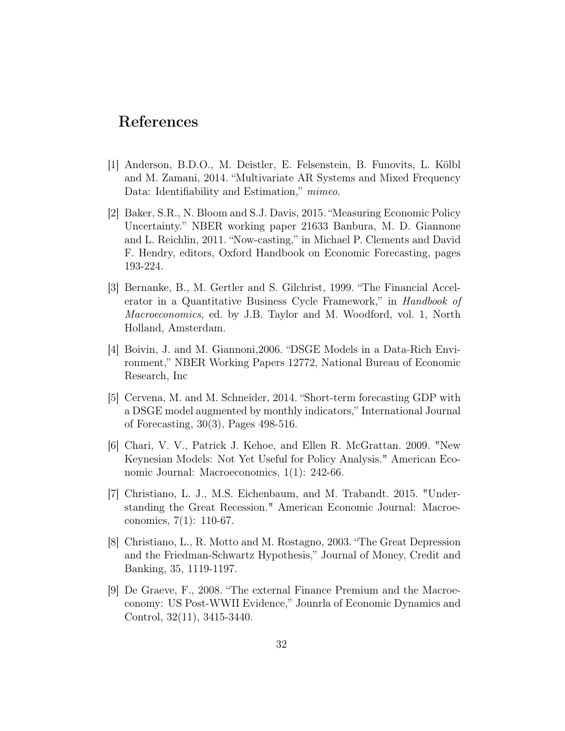## References

- [1] Anderson, B.D.O., M. Deistler, E. Felsenstein, B. Funovits, L. Kölbl and M. Zamani, 2014. "Multivariate AR Systems and Mixed Frequency Data: Identifiability and Estimation," *mimeo*.
- [2] Baker, S.R., N. Bloom and S.J. Davis, 2015. "Measuring Economic Policy Uncertainty." NBER working paper 21633 Banbura, M. D. Giannone and L. Reichlin, 2011. "Now-casting," in Michael P. Clements and David F. Hendry, editors, Oxford Handbook on Economic Forecasting, pages 193-224.
- [3] Bernanke, B., M. Gertler and S. Gilchrist, 1999. "The Financial Accelerator in a Quantitative Business Cycle Framework," in Handbook of Macroeconomics, ed. by J.B. Taylor and M. Woodford, vol. 1, North Holland, Amsterdam.
- [4] Boivin, J. and M. Giannoni,2006. "DSGE Models in a Data-Rich Environment," NBER Working Papers 12772, National Bureau of Economic Research, Inc
- [5] Cervena, M. and M. Schneider, 2014. "Short-term forecasting GDP with a DSGE model augmented by monthly indicators," International Journal of Forecasting, 30(3), Pages 498-516.
- [6] Chari, V. V., Patrick J. Kehoe, and Ellen R. McGrattan. 2009. "New Keynesian Models: Not Yet Useful for Policy Analysis." American Economic Journal: Macroeconomics, 1(1): 242-66.
- [7] Christiano, L. J., M.S. Eichenbaum, and M. Trabandt. 2015. "Understanding the Great Recession." American Economic Journal: Macroeconomics, 7(1): 110-67.
- [8] Christiano, L., R. Motto and M. Rostagno, 2003. "The Great Depression and the Friedman-Schwartz Hypothesis," Journal of Money, Credit and Banking, 35, 1119-1197.
- [9] De Graeve, F., 2008. "The external Finance Premium and the Macroeconomy: US Post-WWII Evidence," Jounrla of Economic Dynamics and Control, 32(11), 3415-3440.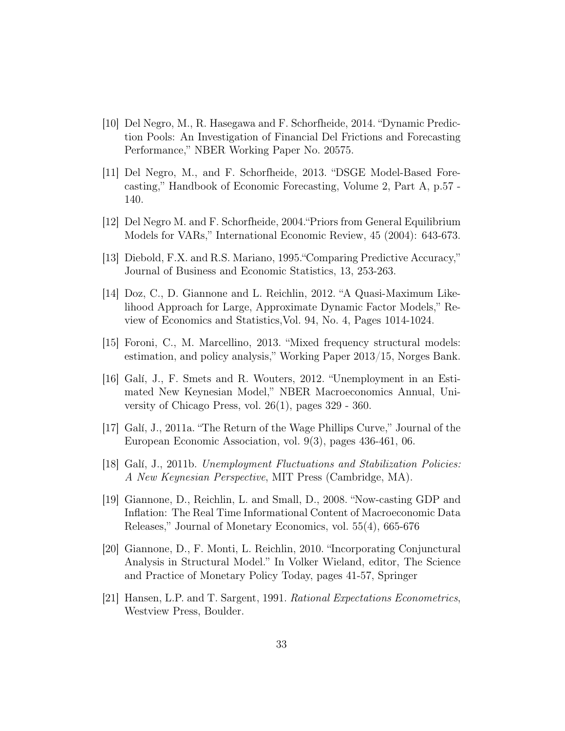- [10] Del Negro, M., R. Hasegawa and F. Schorfheide, 2014. "Dynamic Prediction Pools: An Investigation of Financial Del Frictions and Forecasting Performance," NBER Working Paper No. 20575.
- [11] Del Negro, M., and F. Schorfheide, 2013. "DSGE Model-Based Forecasting," Handbook of Economic Forecasting, Volume 2, Part A, p.57 - 140.
- [12] Del Negro M. and F. Schorfheide, 2004."Priors from General Equilibrium Models for VARs," International Economic Review, 45 (2004): 643-673.
- [13] Diebold, F.X. and R.S. Mariano, 1995."Comparing Predictive Accuracy," Journal of Business and Economic Statistics, 13, 253-263.
- [14] Doz, C., D. Giannone and L. Reichlin, 2012. "A Quasi-Maximum Likelihood Approach for Large, Approximate Dynamic Factor Models," Review of Economics and Statistics,Vol. 94, No. 4, Pages 1014-1024.
- [15] Foroni, C., M. Marcellino, 2013. "Mixed frequency structural models: estimation, and policy analysis," Working Paper 2013/15, Norges Bank.
- [16] Galí, J., F. Smets and R. Wouters, 2012. "Unemployment in an Estimated New Keynesian Model," NBER Macroeconomics Annual, University of Chicago Press, vol. 26(1), pages 329 - 360.
- [17] Galí, J., 2011a. "The Return of the Wage Phillips Curve," Journal of the European Economic Association, vol. 9(3), pages 436-461, 06.
- [18] Galí, J., 2011b. Unemployment Fluctuations and Stabilization Policies: A New Keynesian Perspective, MIT Press (Cambridge, MA).
- [19] Giannone, D., Reichlin, L. and Small, D., 2008. "Now-casting GDP and Inflation: The Real Time Informational Content of Macroeconomic Data Releases," Journal of Monetary Economics, vol. 55(4), 665-676
- [20] Giannone, D., F. Monti, L. Reichlin, 2010. "Incorporating Conjunctural Analysis in Structural Model." In Volker Wieland, editor, The Science and Practice of Monetary Policy Today, pages 41-57, Springer
- [21] Hansen, L.P. and T. Sargent, 1991. Rational Expectations Econometrics, Westview Press, Boulder.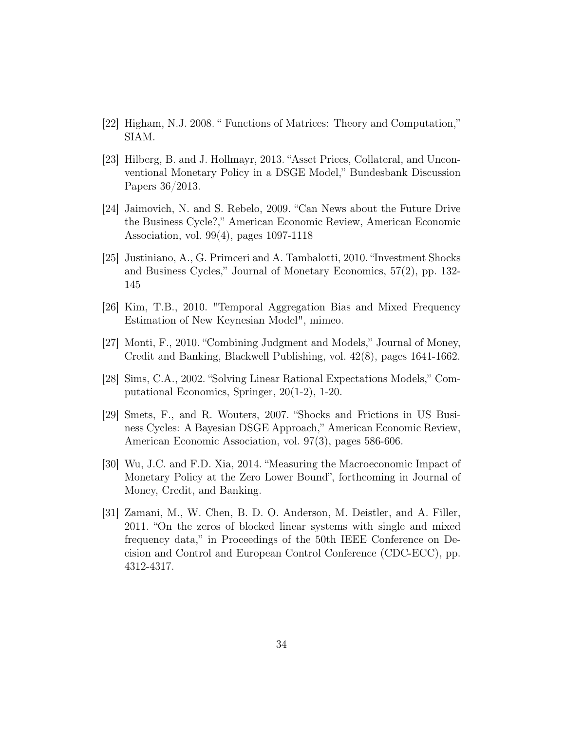- [22] Higham, N.J. 2008. " Functions of Matrices: Theory and Computation," SIAM.
- [23] Hilberg, B. and J. Hollmayr, 2013. "Asset Prices, Collateral, and Unconventional Monetary Policy in a DSGE Model," Bundesbank Discussion Papers 36/2013.
- [24] Jaimovich, N. and S. Rebelo, 2009. "Can News about the Future Drive the Business Cycle?," American Economic Review, American Economic Association, vol. 99(4), pages 1097-1118
- [25] Justiniano, A., G. Primceri and A. Tambalotti, 2010. "Investment Shocks and Business Cycles," Journal of Monetary Economics, 57(2), pp. 132- 145
- [26] Kim, T.B., 2010. "Temporal Aggregation Bias and Mixed Frequency Estimation of New Keynesian Model", mimeo.
- [27] Monti, F., 2010. "Combining Judgment and Models," Journal of Money, Credit and Banking, Blackwell Publishing, vol. 42(8), pages 1641-1662.
- [28] Sims, C.A., 2002. "Solving Linear Rational Expectations Models," Computational Economics, Springer, 20(1-2), 1-20.
- [29] Smets, F., and R. Wouters, 2007. "Shocks and Frictions in US Business Cycles: A Bayesian DSGE Approach," American Economic Review, American Economic Association, vol. 97(3), pages 586-606.
- [30] Wu, J.C. and F.D. Xia, 2014. "Measuring the Macroeconomic Impact of Monetary Policy at the Zero Lower Bound", forthcoming in Journal of Money, Credit, and Banking.
- [31] Zamani, M., W. Chen, B. D. O. Anderson, M. Deistler, and A. Filler, 2011. "On the zeros of blocked linear systems with single and mixed frequency data," in Proceedings of the 50th IEEE Conference on Decision and Control and European Control Conference (CDC-ECC), pp. 4312-4317.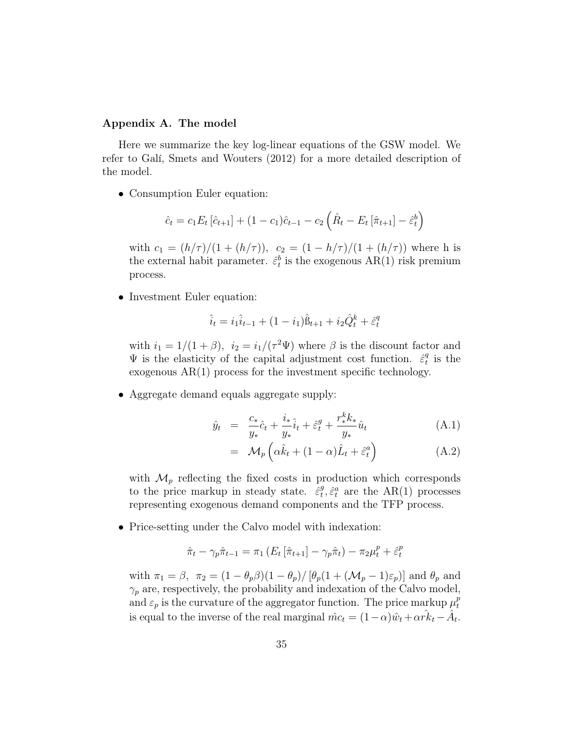#### Appendix A. The model

Here we summarize the key log-linear equations of the GSW model. We refer to Galí, Smets and Wouters (2012) for a more detailed description of the model.

• Consumption Euler equation:

$$
\hat{c}_t = c_1 E_t \left[ \hat{c}_{t+1} \right] + (1 - c_1) \hat{c}_{t-1} - c_2 \left( \hat{R}_t - E_t \left[ \hat{\pi}_{t+1} \right] - \hat{\varepsilon}_t^b \right)
$$

with  $c_1 = (h/\tau)/(1 + (h/\tau))$ ,  $c_2 = (1 - h/\tau)/(1 + (h/\tau))$  where h is the external habit parameter.  $\hat{\varepsilon}^b_t$  is the exogenous AR(1) risk premium process.

• Investment Euler equation:

$$
\hat{i}_t = i_1 \hat{i}_{t-1} + (1 - i_1) \hat{B}_{t+1} + i_2 \hat{Q}_t^k + \hat{\varepsilon}_t^q
$$

with  $i_1 = 1/(1+\beta)$ ,  $i_2 = i_1/(\tau^2 \Psi)$  where  $\beta$  is the discount factor and  $\Psi$  is the elasticity of the capital adjustment cost function.  $\hat{\epsilon}_t^q$  $_t^q$  is the exogenous AR(1) process for the investment specific technology.

• Aggregate demand equals aggregate supply:

$$
\hat{y}_t = \frac{c_*}{y_*}\hat{c}_t + \frac{i_*}{y_*}\hat{i}_t + \hat{\varepsilon}_t^g + \frac{r_*^k k_*}{y_*}\hat{u}_t
$$
\n(A.1)

$$
= \mathcal{M}_p\left(\alpha \hat{k}_t + (1-\alpha)\hat{L}_t + \hat{\varepsilon}_t^a\right) \tag{A.2}
$$

with  $\mathcal{M}_p$  reflecting the fixed costs in production which corresponds to the price markup in steady state.  $\hat{\epsilon}_t^g$  $t^g$ ,  $\hat{\varepsilon}^a_t$  are the AR(1) processes representing exogenous demand components and the TFP process.

• Price-setting under the Calvo model with indexation:

$$
\hat{\pi}_t - \gamma_p \hat{\pi}_{t-1} = \pi_1 \left( E_t \left[ \hat{\pi}_{t+1} \right] - \gamma_p \hat{\pi}_t \right) - \pi_2 \mu_t^p + \hat{\varepsilon}_t^p
$$

with  $\pi_1 = \beta$ ,  $\pi_2 = (1 - \theta_p \beta)(1 - \theta_p) / [\theta_p(1 + (\mathcal{M}_p - 1)\varepsilon_p)]$  and  $\theta_p$  and  $\gamma_p$  are, respectively, the probability and indexation of the Calvo model, and  $\varepsilon_p$  is the curvature of the aggregator function. The price markup  $\mu_t^p$ t is equal to the inverse of the real marginal  $\hat{mc}_t = (1 - \alpha)\hat{w}_t + \alpha \hat{rk}_t - \hat{A}_t$ .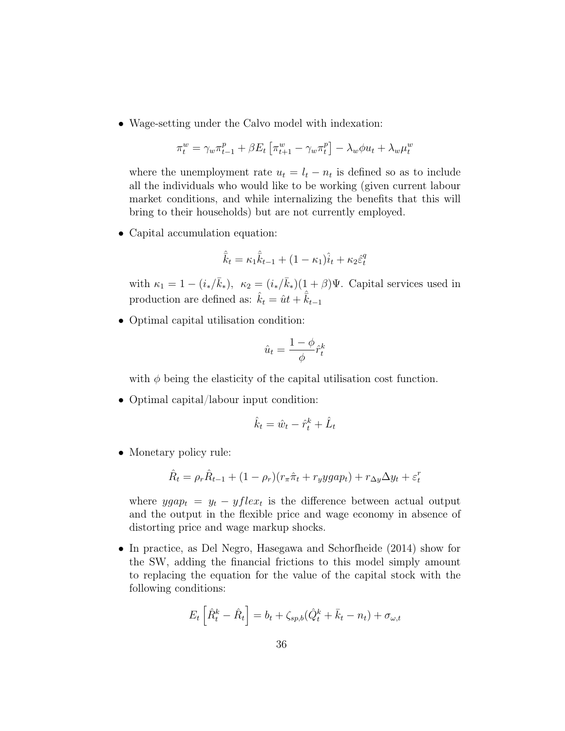• Wage-setting under the Calvo model with indexation:

$$
\pi_t^w = \gamma_w \pi_{t-1}^p + \beta E_t \left[ \pi_{t+1}^w - \gamma_w \pi_t^p \right] - \lambda_w \phi u_t + \lambda_w \mu_t^w
$$

where the unemployment rate  $u_t = l_t - n_t$  is defined so as to include all the individuals who would like to be working (given current labour market conditions, and while internalizing the benefits that this will bring to their households) but are not currently employed.

• Capital accumulation equation:

$$
\hat{\vec{k}}_t = \kappa_1 \hat{\vec{k}}_{t-1} + (1 - \kappa_1) \hat{i}_t + \kappa_2 \hat{\varepsilon}_t^q
$$

with  $\kappa_1 = 1 - (i_*/\bar{k}_*)$ ,  $\kappa_2 = (i_*/\bar{k}_*)(1+\beta)\Psi$ . Capital services used in production are defined as:  $\hat{k}_t = \hat{u}t + \hat{\bar{k}}_{t-1}$ 

• Optimal capital utilisation condition:

$$
\hat{u}_t = \frac{1 - \phi}{\phi} \hat{r}_t^k
$$

with  $\phi$  being the elasticity of the capital utilisation cost function.

• Optimal capital/labour input condition:

$$
\hat{k}_t = \hat{w}_t - \hat{r}_t^k + \hat{L}_t
$$

• Monetary policy rule:

$$
\hat{R}_t = \rho_r \hat{R}_{t-1} + (1 - \rho_r)(r_\pi \hat{\pi}_t + r_y y g a p_t) + r_{\Delta y} \Delta y_t + \varepsilon_t^r
$$

where  $ygap_t = y_t - yflex_t$  is the difference between actual output and the output in the flexible price and wage economy in absence of distorting price and wage markup shocks.

• In practice, as Del Negro, Hasegawa and Schorfheide (2014) show for the SW, adding the financial frictions to this model simply amount to replacing the equation for the value of the capital stock with the following conditions:

$$
E_t\left[\hat{R}_t^k - \hat{R}_t\right] = b_t + \zeta_{sp,b}(\hat{Q}_t^k + \bar{k}_t - n_t) + \sigma_{\omega,t}
$$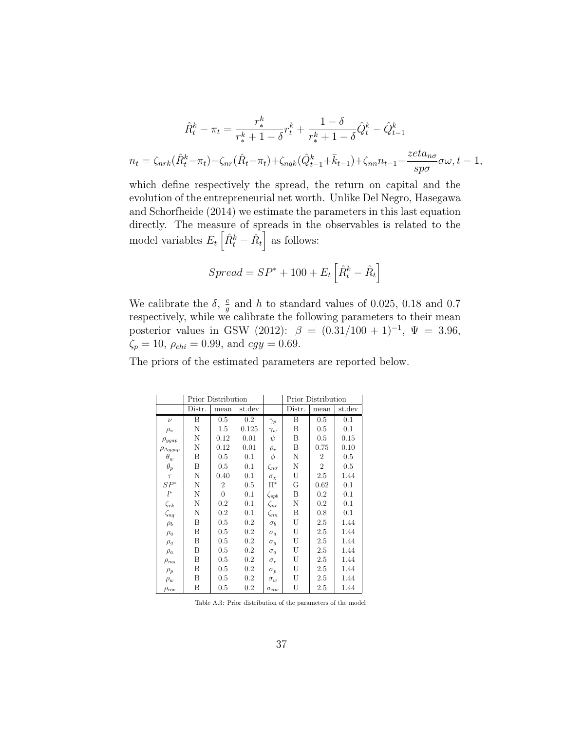$$
\hat{R}_t^k - \pi_t = \frac{r_*^k}{r_*^k + 1 - \delta} r_t^k + \frac{1 - \delta}{r_*^k + 1 - \delta} \hat{Q}_t^k - \hat{Q}_{t-1}^k
$$
\n
$$
n_t = \zeta_{nrk} (\hat{R}_t^k - \pi_t) - \zeta_{nr} (\hat{R}_t - \pi_t) + \zeta_{nqk} (\hat{Q}_{t-1}^k + \bar{k}_{t-1}) + \zeta_{nn} n_{t-1} - \frac{zeta_{nq}}{sp\sigma} \sigma \omega, t - 1,
$$

which define respectively the spread, the return on capital and the evolution of the entrepreneurial net worth. Unlike Del Negro, Hasegawa and Schorfheide (2014) we estimate the parameters in this last equation directly. The measure of spreads in the observables is related to the model variables  $E_t\left[\hat{R}_t^k - \hat{R}_t\right]$  as follows:

$$
Spread = SP^* + 100 + E_t \left[ \hat{R}_t^k - \hat{R}_t \right]
$$

We calibrate the  $\delta$ ,  $\frac{c}{a}$  $\frac{c}{g}$  and h to standard values of 0.025, 0.18 and 0.7 respectively, while we calibrate the following parameters to their mean posterior values in GSW (2012):  $\beta = (0.31/100 + 1)^{-1}$ ,  $\Psi = 3.96$ ,  $\zeta_p = 10, \rho_{chi} = 0.99, \text{ and } cy = 0.69.$ 

The priors of the estimated parameters are reported below.

|                      |        | <b>Prior Distribution</b> |         |                   | <b>Prior Distribution</b> |                |        |
|----------------------|--------|---------------------------|---------|-------------------|---------------------------|----------------|--------|
|                      | Distr. | mean                      | st.dev  |                   | Distr.                    | mean           | st.dev |
| $\nu$                | B      | 0.5                       | $0.2\,$ | $\gamma_p$        | B                         | 0.5            | 0.1    |
| $\rho_{\pi}$         | N      | 1.5                       | 0.125   | $\gamma_w$        | B                         | 0.5            | 0.1    |
| $\rho_{ygap}$        | N      | 0.12                      | 0.01    | $\psi$            | B                         | 0.5            | 0.15   |
| $\rho_{\Delta ygap}$ | N      | 0.12                      | 0.01    | $\rho_r$          | B                         | 0.75           | 0.10   |
| $\theta_w$           | Β      | 0.5                       | 0.1     | $\phi$            | N                         | $\overline{2}$ | 0.5    |
| $\theta_p$           | Β      | 0.5                       | 0.1     | $\zeta_{n\sigma}$ | N                         | $\overline{2}$ | 0.5    |
| $\tau$               | N      | 0.40                      | 0.1     | $\sigma_{\chi}$   | U                         | 2.5            | 1.44   |
| $SP^*$               | N      | 2                         | 0.5     | $\Pi^*$           | G                         | 0.62           | 0.1    |
| $l^*$                | N      | $\overline{0}$            | 0.1     | $\zeta_{spb}$     | Β                         | 0.2            | 0.1    |
| $\zeta_{rk}$         | N      | 0.2                       | 0.1     | $\zeta_{nr}$      | N                         | 0.2            | 0.1    |
| $\zeta_{nq}$         | N      | 0.2                       | 0.1     | $\zeta_{nn}$      | Β                         | 0.8            | 0.1    |
| $\rho_b$             | Β      | 0.5                       | $0.2\,$ | $\sigma_b$        | U                         | 2.5            | 1.44   |
| $\rho_q$             | Β      | 0.5                       | 0.2     | $\sigma_q$        | U                         | 2.5            | 1.44   |
| $\rho_g$             | Β      | 0.5                       | 0.2     | $\sigma_q$        | U                         | 2.5            | 1.44   |
| $\rho_a$             | B      | 0.5                       | 0.2     | $\sigma_a$        | U                         | 2.5            | 1.44   |
| $\rho_{ms}$          | Β      | 0.5                       | $0.2\,$ | $\sigma_r$        | U                         | 2.5            | 1.44   |
| $\rho_p$             | B      | 0.5                       | $0.2\,$ | $\sigma_p$        | U                         | 2.5            | 1.44   |
| $\rho_w$             | Β      | 0.5                       | $0.2\,$ | $\sigma_w$        | U                         | 2.5            | 1.44   |
| $\rho_{nw}$          | B      | 0.5                       | 0.2     | $\sigma_{nw}$     | U                         | 2.5            | 1.44   |

Table A.3: Prior distribution of the parameters of the model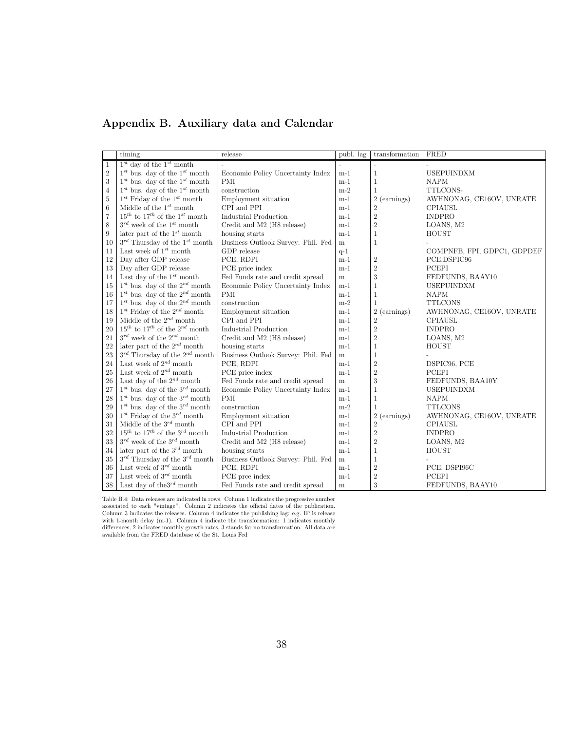### Appendix B. Auxiliary data and Calendar

|                | timing                                       | release                            | publ. lag | transformation   | FRED                        |
|----------------|----------------------------------------------|------------------------------------|-----------|------------------|-----------------------------|
| 1              | $1^{st}$ day of the $1^{st}$ month           |                                    |           |                  |                             |
| $\overline{2}$ | $1^{st}$ bus. day of the $1^{st}$ month      | Economic Policy Uncertainty Index  | $m-1$     | $\mathbf{1}$     | <b>USEPUINDXM</b>           |
| 3              | $1^{st}$ bus. day of the $1^{st}$ month      | <b>PMI</b>                         | $m-1$     | $\mathbf{1}$     | <b>NAPM</b>                 |
| $\overline{4}$ | $1^{st}$ bus. day of the $1^{st}$ month      | construction                       | $m-2$     | $\mathbf{1}$     | TTLCONS-                    |
| 5              | $1^{st}$ Friday of the $1^{st}$ month        | Employment situation               | $m-1$     | 2 (earnings)     | AWHNONAG, CE16OV, UNRATE    |
| 6              | Middle of the $1^{st}$ month                 | CPI and PPI                        | $m-1$     | $\sqrt{2}$       | <b>CPIAUSL</b>              |
| $\overline{7}$ | $15^{th}$ to $17^{th}$ of the $1^{st}$ month | Industrial Production              | $m-1$     | $\sqrt{2}$       | <b>INDPRO</b>               |
| 8              | $3^{rd}$ week of the $1^{st}$ month          | Credit and M2 (H8 release)         | $m-1$     | $\sqrt{2}$       | LOANS, M2                   |
| 9              | later part of the $1^{st}$ month             | housing starts                     | $m-1$     | $\mathbf{1}$     | HOUST                       |
| 10             | $3^{rd}$ Thursday of the $1^{st}$ month      | Business Outlook Survey: Phil. Fed | m         | $\mathbf{1}$     |                             |
| 11             | Last week of $1^{st}$ month                  | GDP release                        | $q-1$     |                  | COMPNFB, FPI, GDPC1, GDPDEF |
| 12             | Day after GDP release                        | PCE, RDPI                          | $m-1$     | $\sqrt{2}$       | PCE,DSPIC96                 |
| 13             | Day after GDP release                        | PCE price index                    | $m-1$     | $\overline{2}$   | PCEPI                       |
| 14             | Last day of the $1^{st}$ month               | Fed Funds rate and credit spread   | m         | 3                | FEDFUNDS, BAAY10            |
| 15             | $1^{st}$ bus. day of the $2^{nd}$ month      | Economic Policy Uncertainty Index  | $m-1$     | $\mathbf{1}$     | <b>USEPUINDXM</b>           |
| 16             | $1^{st}$ bus. day of the $2^{nd}$ month      | PMI                                | $m-1$     | $\mathbf{1}$     | <b>NAPM</b>                 |
| 17             | $1^{st}$ bus. day of the $2^{nd}$ month      | construction                       | $m-2$     | $\mathbf{1}$     | <b>TTLCONS</b>              |
| 18             | $1^{st}$ Friday of the $2^{nd}$ month        | Employment situation               | $m-1$     | 2 (earnings)     | AWHNONAG, CE16OV, UNRATE    |
| 19             | Middle of the $2^{nd}$ month                 | CPI and PPI                        | $m-1$     | $\sqrt{2}$       | <b>CPIAUSL</b>              |
| 20             | $15^{th}$ to $17^{th}$ of the $2^{nd}$ month | Industrial Production              | $m-1$     | $\sqrt{2}$       | <b>INDPRO</b>               |
| 21             | $3^{rd}$ week of the $2^{nd}$ month          | Credit and M2 (H8 release)         | $m-1$     | $\overline{2}$   | LOANS, M2                   |
| 22             | later part of the $2^{nd}$ month             | housing starts                     | $m-1$     | $\mathbf{1}$     | HOUST                       |
| 23             | $3^{rd}$ Thursday of the $2^{nd}$ month      | Business Outlook Survey: Phil. Fed | m         | $\mathbf{1}$     | L.                          |
| 24             | Last week of $2^{nd}$ month                  | PCE, RDPI                          | $m-1$     | $\boldsymbol{2}$ | DSPIC96, PCE                |
| 25             | Last week of $2^{nd}$ month                  | PCE price index                    | $m-1$     | $\overline{2}$   | PCEPI                       |
| 26             | Last day of the $2^{nd}$ month               | Fed Funds rate and credit spread   | m         | 3                | FEDFUNDS, BAA10Y            |
| 27             | $1^{st}$ bus. day of the $3^{rd}$ month      | Economic Policy Uncertainty Index  | $m-1$     | $\mathbf{1}$     | <b>USEPUINDXM</b>           |
| 28             | $1^{st}$ bus. day of the $3^{rd}$ month      | <b>PMI</b>                         | $m-1$     | $\mathbf{1}$     | <b>NAPM</b>                 |
| 29             | $1^{st}$ bus. day of the $3^{rd}$ month      | construction                       | $m-2$     | $\mathbf{1}$     | <b>TTLCONS</b>              |
| 30             | $1^{st}$ Friday of the $3^{rd}$ month        | Employment situation               | $m-1$     | 2 (earnings)     | AWHNONAG, CE16OV, UNRATE    |
| 31             | Middle of the $3^{rd}$ month                 | CPI and PPI                        | $m-1$     | $\boldsymbol{2}$ | CPIAUSL                     |
| 32             | $15^{th}$ to $17^{th}$ of the $3^{rd}$ month | <b>Industrial Production</b>       | $m-1$     | $\sqrt{2}$       | <b>INDPRO</b>               |
| 33             | $3^{rd}$ week of the $3^{rd}$ month          | Credit and M2 (H8 release)         | $m-1$     | $\sqrt{2}$       | LOANS, M2                   |
| 34             | later part of the $3^{rd}$ month             | housing starts                     | $m-1$     | $\mathbf{1}$     | HOUST                       |
| 35             | $3^{rd}$ Thursday of the $3^{rd}$ month      | Business Outlook Survey: Phil. Fed | m         | $\mathbf{1}$     |                             |
| 36             | Last week of $3^{rd}$ month                  | PCE, RDPI                          | $m-1$     | $\overline{2}$   | PCE, DSPI96C                |
| 37             | Last week of $3^{rd}$ month                  | PCE prce index                     | $m-1$     | $\sqrt{2}$       | PCEPI                       |
| 38             | Last day of the $3^{rd}$ month               | Fed Funds rate and credit spread   | m         | 3                | FEDFUNDS, BAAY10            |

Table B.4: Data releases are indicated in rows. Column 1 indicates the progressive number associated to each "vintage". Column 2 indicates the official dates of the publication. Column 3 indicates the releases. Column 4 i available from the FRED database of the St. Louis Fed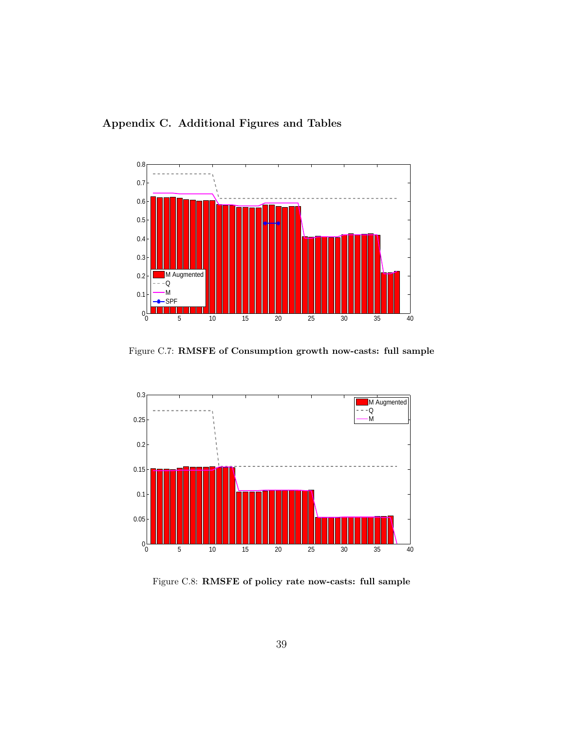



Figure C.7: RMSFE of Consumption growth now-casts: full sample



Figure C.8: RMSFE of policy rate now-casts: full sample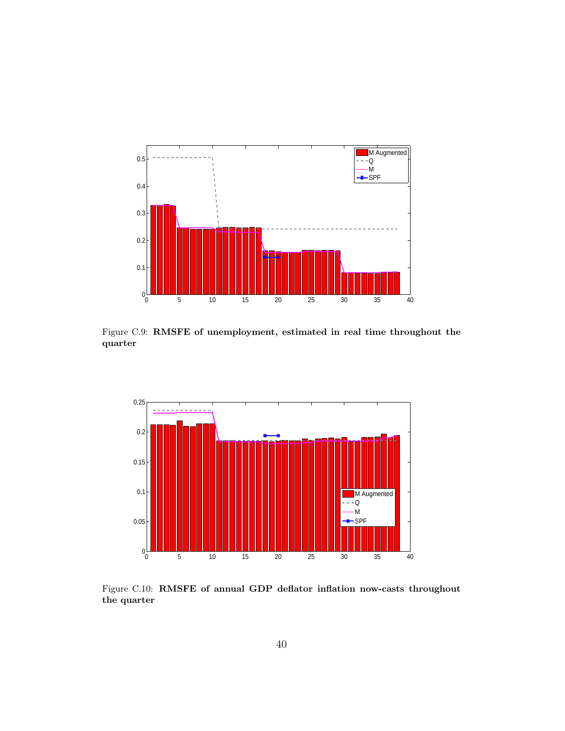

Figure C.9: RMSFE of unemployment, estimated in real time throughout the quarter



Figure C.10: RMSFE of annual GDP deflator inflation now-casts throughout the quarter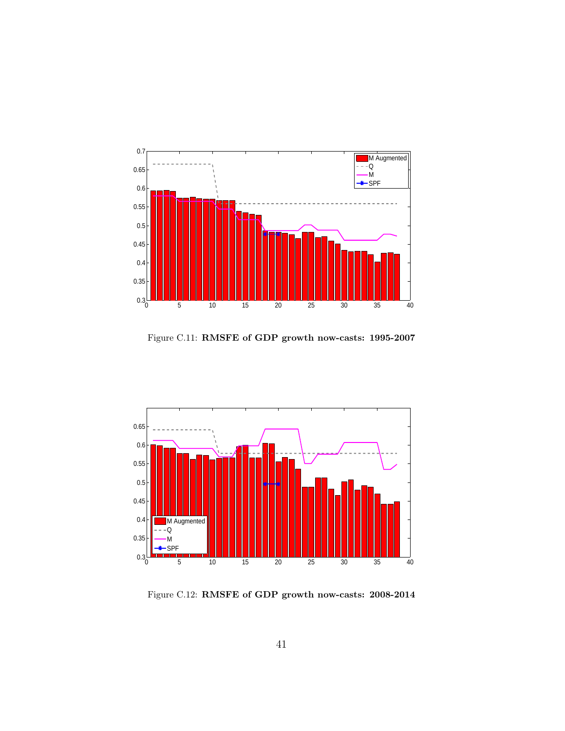

Figure C.11: RMSFE of GDP growth now-casts: 1995-2007



Figure C.12: RMSFE of GDP growth now-casts: 2008-2014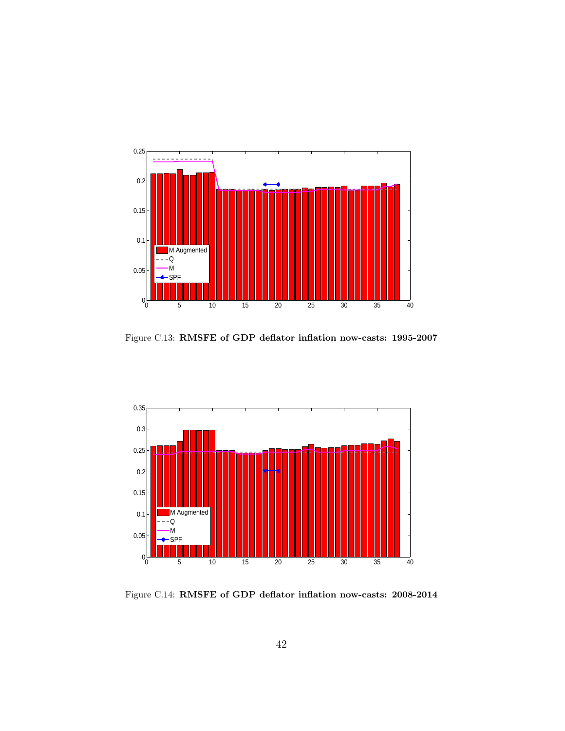

Figure C.13: RMSFE of GDP deflator inflation now-casts: 1995-2007



Figure C.14: RMSFE of GDP deflator inflation now-casts: 2008-2014